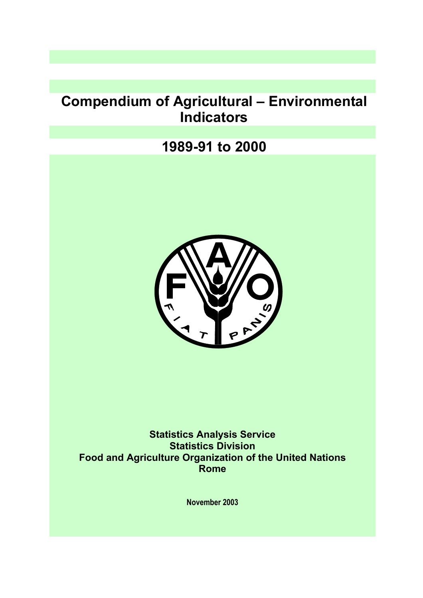# **Compendium of Agricultural – Environmental Indicators**

**1989-91 to 2000** 



**Statistics Analysis Service Statistics Division Food and Agriculture Organization of the United Nations Rome** 

**November 2003**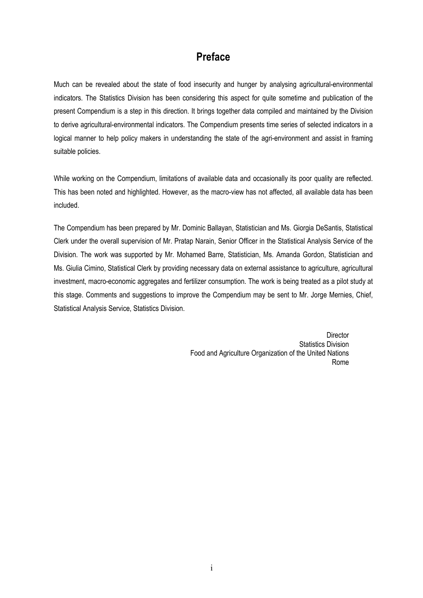## **Preface**

Much can be revealed about the state of food insecurity and hunger by analysing agricultural-environmental indicators. The Statistics Division has been considering this aspect for quite sometime and publication of the present Compendium is a step in this direction. It brings together data compiled and maintained by the Division to derive agricultural-environmental indicators. The Compendium presents time series of selected indicators in a logical manner to help policy makers in understanding the state of the agri-environment and assist in framing suitable policies.

While working on the Compendium, limitations of available data and occasionally its poor quality are reflected. This has been noted and highlighted. However, as the macro-view has not affected, all available data has been included.

The Compendium has been prepared by Mr. Dominic Ballayan, Statistician and Ms. Giorgia DeSantis, Statistical Clerk under the overall supervision of Mr. Pratap Narain, Senior Officer in the Statistical Analysis Service of the Division. The work was supported by Mr. Mohamed Barre, Statistician, Ms. Amanda Gordon, Statistician and Ms. Giulia Cimino, Statistical Clerk by providing necessary data on external assistance to agriculture, agricultural investment, macro-economic aggregates and fertilizer consumption. The work is being treated as a pilot study at this stage. Comments and suggestions to improve the Compendium may be sent to Mr. Jorge Mernies, Chief, Statistical Analysis Service, Statistics Division.

> **Director** Statistics Division Food and Agriculture Organization of the United Nations Rome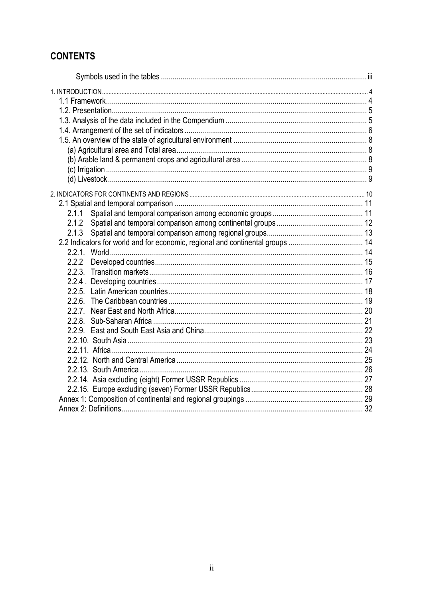## **CONTENTS**

| 2.1.1                                                                          |  |
|--------------------------------------------------------------------------------|--|
|                                                                                |  |
| 2.1.3                                                                          |  |
| 2.2 Indicators for world and for economic, regional and continental groups  14 |  |
|                                                                                |  |
| 2.2.2                                                                          |  |
|                                                                                |  |
|                                                                                |  |
|                                                                                |  |
|                                                                                |  |
|                                                                                |  |
| 2.2.8.                                                                         |  |
|                                                                                |  |
|                                                                                |  |
|                                                                                |  |
|                                                                                |  |
|                                                                                |  |
|                                                                                |  |
|                                                                                |  |
|                                                                                |  |
|                                                                                |  |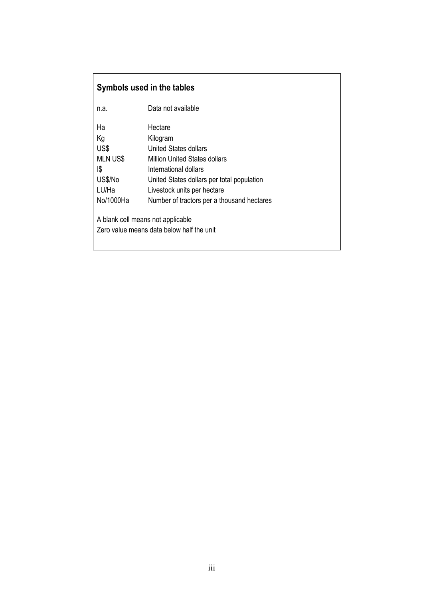## **Symbols used in the tables**

| n.a.                                      | Data not available                         |  |  |  |  |
|-------------------------------------------|--------------------------------------------|--|--|--|--|
| Ha                                        | Hectare                                    |  |  |  |  |
| Кg                                        | Kilogram                                   |  |  |  |  |
| US\$                                      | United States dollars                      |  |  |  |  |
| <b>MLN US\$</b>                           | Million United States dollars              |  |  |  |  |
| 1\$                                       | International dollars                      |  |  |  |  |
| US\$/No                                   | United States dollars per total population |  |  |  |  |
| LU/Ha                                     | Livestock units per hectare                |  |  |  |  |
| No/1000Ha                                 | Number of tractors per a thousand hectares |  |  |  |  |
| A blank cell means not applicable         |                                            |  |  |  |  |
| Zero value means data below half the unit |                                            |  |  |  |  |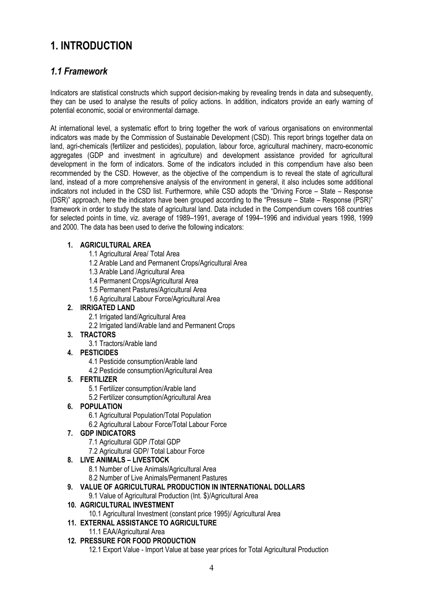## **1. INTRODUCTION**

## *1.1 Framework*

Indicators are statistical constructs which support decision-making by revealing trends in data and subsequently, they can be used to analyse the results of policy actions. In addition, indicators provide an early warning of potential economic, social or environmental damage.

At international level, a systematic effort to bring together the work of various organisations on environmental indicators was made by the Commission of Sustainable Development (CSD). This report brings together data on land, agri-chemicals (fertilizer and pesticides), population, labour force, agricultural machinery, macro-economic aggregates (GDP and investment in agriculture) and development assistance provided for agricultural development in the form of indicators. Some of the indicators included in this compendium have also been recommended by the CSD. However, as the objective of the compendium is to reveal the state of agricultural land, instead of a more comprehensive analysis of the environment in general, it also includes some additional indicators not included in the CSD list. Furthermore, while CSD adopts the "Driving Force – State – Response (DSR)" approach, here the indicators have been grouped according to the "Pressure – State – Response (PSR)" framework in order to study the state of agricultural land. Data included in the Compendium covers 168 countries for selected points in time, viz. average of 1989–1991, average of 1994–1996 and individual years 1998, 1999 and 2000. The data has been used to derive the following indicators:

### **1. AGRICULTURAL AREA**

- 1.1 Agricultural Area/ Total Area
- 1.2 Arable Land and Permanent Crops/Agricultural Area
- 1.3 Arable Land /Agricultural Area
- 1.4 Permanent Crops/Agricultural Area
- 1.5 Permanent Pastures/Agricultural Area
- 1.6 Agricultural Labour Force/Agricultural Area

### **2. IRRIGATED LAND**

- 2.1 Irrigated land/Agricultural Area
- 2.2 Irrigated land/Arable land and Permanent Crops

### **3. TRACTORS**

3.1 Tractors/Arable land

### **4. PESTICIDES**

- 4.1 Pesticide consumption/Arable land
- 4.2 Pesticide consumption/Agricultural Area

### **5. FERTILIZER**

- 5.1 Fertilizer consumption/Arable land
- 5.2 Fertilizer consumption/Agricultural Area

### **6. POPULATION**

- 6.1 Agricultural Population/Total Population
- 6.2 Agricultural Labour Force/Total Labour Force

### **7. GDP INDICATORS**

- 7.1 Agricultural GDP /Total GDP
- 7.2 Agricultural GDP/ Total Labour Force

### **8. LIVE ANIMALS – LIVESTOCK**

- 8.1 Number of Live Animals/Agricultural Area
- 8.2 Number of Live Animals/Permanent Pastures
- **9. VALUE OF AGRICULTURAL PRODUCTION IN INTERNATIONAL DOLLARS**
- 9.1 Value of Agricultural Production (Int. \$)/Agricultural Area

### **10. AGRICULTURAL INVESTMENT**

- 10.1 Agricultural Investment (constant price 1995)/ Agricultural Area
- **11. EXTERNAL ASSISTANCE TO AGRICULTURE** 
	- 11.1 EAA/Agricultural Area

### **12. PRESSURE FOR FOOD PRODUCTION**

12.1 Export Value - Import Value at base year prices for Total Agricultural Production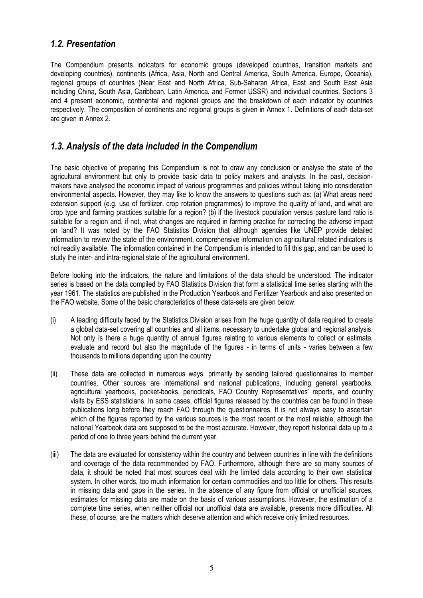## *1.2. Presentation*

The Compendium presents indicators for economic groups (developed countries, transition markets and developing countries), continents (Africa, Asia, North and Central America, South America, Europe, Oceania), regional groups of countries (Near East and North Africa, Sub-Saharan Africa, East and South East Asia including China, South Asia, Caribbean, Latin America, and Former USSR) and individual countries. Sections 3 and 4 present economic, continental and regional groups and the breakdown of each indicator by countries respectively. The composition of continents and regional groups is given in Annex 1. Definitions of each data-set are given in Annex 2.

## *1.3. Analysis of the data included in the Compendium*

The basic objective of preparing this Compendium is not to draw any conclusion or analyse the state of the agricultural environment but only to provide basic data to policy makers and analysts. In the past, decisionmakers have analysed the economic impact of various programmes and policies without taking into consideration environmental aspects. However, they may like to know the answers to questions such as: (a) What areas need extension support (e.g. use of fertilizer, crop rotation programmes) to improve the quality of land, and what are crop type and farming practices suitable for a region? (b) If the livestock population versus pasture land ratio is suitable for a region and, if not, what changes are required in farming practice for correcting the adverse impact on land? It was noted by the FAO Statistics Division that although agencies like UNEP provide detailed information to review the state of the environment, comprehensive information on agricultural related indicators is not readily available. The information contained in the Compendium is intended to fill this gap, and can be used to study the inter- and intra-regional state of the agricultural environment.

Before looking into the indicators, the nature and limitations of the data should be understood. The indicator series is based on the data compiled by FAO Statistics Division that form a statistical time series starting with the year 1961. The statistics are published in the Production Yearbook and Fertilizer Yearbook and also presented on the FAO website. Some of the basic characteristics of these data-sets are given below:

- (i) A leading difficulty faced by the Statistics Division arises from the huge quantity of data required to create a global data-set covering all countries and all items, necessary to undertake global and regional analysis. Not only is there a huge quantity of annual figures relating to various elements to collect or estimate, evaluate and record but also the magnitude of the figures - in terms of units - varies between a few thousands to millions depending upon the country.
- (ii) These data are collected in numerous ways, primarily by sending tailored questionnaires to member countries. Other sources are international and national publications, including general yearbooks, agricultural yearbooks, pocket-books, periodicals, FAO Country Representatives' reports, and country visits by ESS statisticians. In some cases, official figures released by the countries can be found in these publications long before they reach FAO through the questionnaires. It is not always easy to ascertain which of the figures reported by the various sources is the most recent or the most reliable, although the national Yearbook data are supposed to be the most accurate. However, they report historical data up to a period of one to three years behind the current year.
- (iii) The data are evaluated for consistency within the country and between countries in line with the definitions and coverage of the data recommended by FAO. Furthermore, although there are so many sources of data, it should be noted that most sources deal with the limited data according to their own statistical system. In other words, too much information for certain commodities and too little for others. This results in missing data and gaps in the series. In the absence of any figure from official or unofficial sources, estimates for missing data are made on the basis of various assumptions. However, the estimation of a complete time series, when neither official nor unofficial data are available, presents more difficulties. All these, of course, are the matters which deserve attention and which receive only limited resources.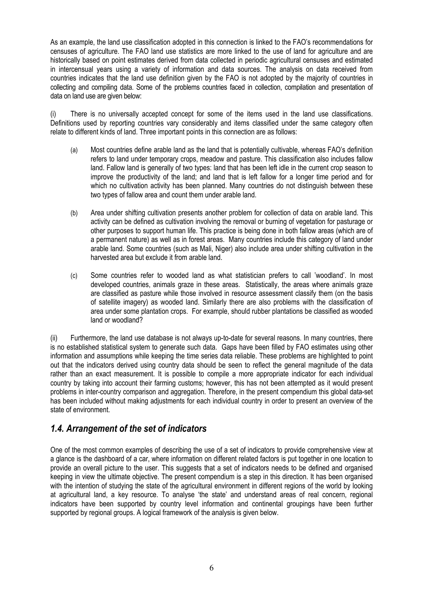As an example, the land use classification adopted in this connection is linked to the FAO's recommendations for censuses of agriculture. The FAO land use statistics are more linked to the use of land for agriculture and are historically based on point estimates derived from data collected in periodic agricultural censuses and estimated in intercensual years using a variety of information and data sources. The analysis on data received from countries indicates that the land use definition given by the FAO is not adopted by the majority of countries in collecting and compiling data. Some of the problems countries faced in collection, compilation and presentation of data on land use are given below:

(i) There is no universally accepted concept for some of the items used in the land use classifications. Definitions used by reporting countries vary considerably and items classified under the same category often relate to different kinds of land. Three important points in this connection are as follows:

- (a) Most countries define arable land as the land that is potentially cultivable, whereas FAO's definition refers to land under temporary crops, meadow and pasture. This classification also includes fallow land. Fallow land is generally of two types: land that has been left idle in the current crop season to improve the productivity of the land; and land that is left fallow for a longer time period and for which no cultivation activity has been planned. Many countries do not distinguish between these two types of fallow area and count them under arable land.
- (b) Area under shifting cultivation presents another problem for collection of data on arable land. This activity can be defined as cultivation involving the removal or burning of vegetation for pasturage or other purposes to support human life. This practice is being done in both fallow areas (which are of a permanent nature) as well as in forest areas. Many countries include this category of land under arable land. Some countries (such as Mali, Niger) also include area under shifting cultivation in the harvested area but exclude it from arable land.
- (c) Some countries refer to wooded land as what statistician prefers to call 'woodland'. In most developed countries, animals graze in these areas. Statistically, the areas where animals graze are classified as pasture while those involved in resource assessment classify them (on the basis of satellite imagery) as wooded land. Similarly there are also problems with the classification of area under some plantation crops. For example, should rubber plantations be classified as wooded land or woodland?

(ii) Furthermore, the land use database is not always up-to-date for several reasons. In many countries, there is no established statistical system to generate such data. Gaps have been filled by FAO estimates using other information and assumptions while keeping the time series data reliable. These problems are highlighted to point out that the indicators derived using country data should be seen to reflect the general magnitude of the data rather than an exact measurement. It is possible to compile a more appropriate indicator for each individual country by taking into account their farming customs; however, this has not been attempted as it would present problems in inter-country comparison and aggregation. Therefore, in the present compendium this global data-set has been included without making adjustments for each individual country in order to present an overview of the state of environment.

## *1.4. Arrangement of the set of indicators*

One of the most common examples of describing the use of a set of indicators to provide comprehensive view at a glance is the dashboard of a car, where information on different related factors is put together in one location to provide an overall picture to the user. This suggests that a set of indicators needs to be defined and organised keeping in view the ultimate objective. The present compendium is a step in this direction. It has been organised with the intention of studying the state of the agricultural environment in different regions of the world by looking at agricultural land, a key resource. To analyse 'the state' and understand areas of real concern, regional indicators have been supported by country level information and continental groupings have been further supported by regional groups. A logical framework of the analysis is given below.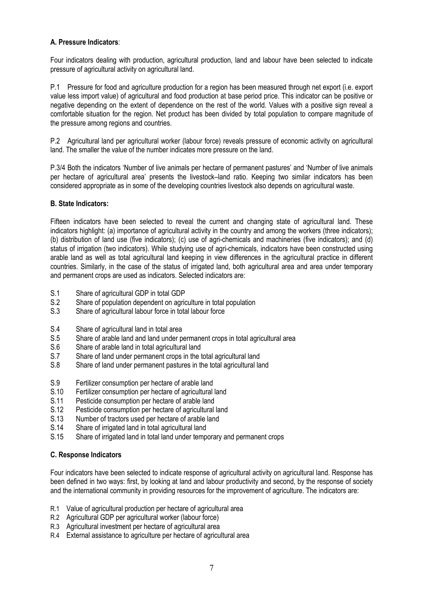### **A. Pressure Indicators**:

Four indicators dealing with production, agricultural production, land and labour have been selected to indicate pressure of agricultural activity on agricultural land.

P.1 Pressure for food and agriculture production for a region has been measured through net export (i.e. export value less import value) of agricultural and food production at base period price. This indicator can be positive or negative depending on the extent of dependence on the rest of the world. Values with a positive sign reveal a comfortable situation for the region. Net product has been divided by total population to compare magnitude of the pressure among regions and countries.

P.2 Agricultural land per agricultural worker (labour force) reveals pressure of economic activity on agricultural land. The smaller the value of the number indicates more pressure on the land.

P.3/4 Both the indicators 'Number of live animals per hectare of permanent pastures' and 'Number of live animals per hectare of agricultural area' presents the livestock–land ratio. Keeping two similar indicators has been considered appropriate as in some of the developing countries livestock also depends on agricultural waste.

### **B. State Indicators:**

Fifteen indicators have been selected to reveal the current and changing state of agricultural land. These indicators highlight: (a) importance of agricultural activity in the country and among the workers (three indicators); (b) distribution of land use (five indicators); (c) use of agri-chemicals and machineries (five indicators); and (d) status of irrigation (two indicators). While studying use of agri-chemicals, indicators have been constructed using arable land as well as total agricultural land keeping in view differences in the agricultural practice in different countries. Similarly, in the case of the status of irrigated land, both agricultural area and area under temporary and permanent crops are used as indicators. Selected indicators are:

- S.1 Share of agricultural GDP in total GDP
- S.2 Share of population dependent on agriculture in total population
- S.3 Share of agricultural labour force in total labour force
- S.4 Share of agricultural land in total area
- S.5 Share of arable land and land under permanent crops in total agricultural area
- S.6 Share of arable land in total agricultural land
- S.7 Share of land under permanent crops in the total agricultural land
- S.8 Share of land under permanent pastures in the total agricultural land
- S.9 Fertilizer consumption per hectare of arable land
- S.10 Fertilizer consumption per hectare of agricultural land
- S.11 Pesticide consumption per hectare of arable land
- S.12 Pesticide consumption per hectare of agricultural land
- S.13 Number of tractors used per hectare of arable land
- S.14 Share of irrigated land in total agricultural land
- S.15 Share of irrigated land in total land under temporary and permanent crops

### **C. Response Indicators**

Four indicators have been selected to indicate response of agricultural activity on agricultural land. Response has been defined in two ways: first, by looking at land and labour productivity and second, by the response of society and the international community in providing resources for the improvement of agriculture. The indicators are:

- R.1 Value of agricultural production per hectare of agricultural area
- R.2 Agricultural GDP per agricultural worker (labour force)
- R.3 Agricultural investment per hectare of agricultural area
- R.4 External assistance to agriculture per hectare of agricultural area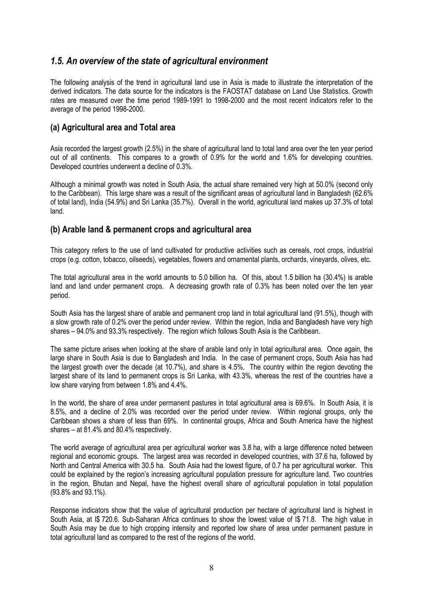## *1.5. An overview of the state of agricultural environment*

The following analysis of the trend in agricultural land use in Asia is made to illustrate the interpretation of the derived indicators. The data source for the indicators is the FAOSTAT database on Land Use Statistics. Growth rates are measured over the time period 1989-1991 to 1998-2000 and the most recent indicators refer to the average of the period 1998-2000.

### **(a) Agricultural area and Total area**

Asia recorded the largest growth (2.5%) in the share of agricultural land to total land area over the ten year period out of all continents. This compares to a growth of 0.9% for the world and 1.6% for developing countries. Developed countries underwent a decline of 0.3%.

Although a minimal growth was noted in South Asia, the actual share remained very high at 50.0% (second only to the Caribbean). This large share was a result of the significant areas of agricultural land in Bangladesh (62.6% of total land), India (54.9%) and Sri Lanka (35.7%). Overall in the world, agricultural land makes up 37.3% of total land.

### **(b) Arable land & permanent crops and agricultural area**

This category refers to the use of land cultivated for productive activities such as cereals, root crops, industrial crops (e.g. cotton, tobacco, oilseeds), vegetables, flowers and ornamental plants, orchards, vineyards, olives, etc.

The total agricultural area in the world amounts to 5.0 billion ha. Of this, about 1.5 billion ha (30.4%) is arable land and land under permanent crops. A decreasing growth rate of 0.3% has been noted over the ten year period.

South Asia has the largest share of arable and permanent crop land in total agricultural land (91.5%), though with a slow growth rate of 0.2% over the period under review. Within the region, India and Bangladesh have very high shares – 94.0% and 93.3% respectively. The region which follows South Asia is the Caribbean.

The same picture arises when looking at the share of arable land only in total agricultural area. Once again, the large share in South Asia is due to Bangladesh and India. In the case of permanent crops, South Asia has had the largest growth over the decade (at 10.7%), and share is 4.5%. The country within the region devoting the largest share of its land to permanent crops is Sri Lanka, with 43.3%, whereas the rest of the countries have a low share varying from between 1.8% and 4.4%.

In the world, the share of area under permanent pastures in total agricultural area is 69.6%. In South Asia, it is 8.5%, and a decline of 2.0% was recorded over the period under review. Within regional groups, only the Caribbean shows a share of less than 69%. In continental groups, Africa and South America have the highest shares – at 81.4% and 80.4% respectively.

The world average of agricultural area per agricultural worker was 3.8 ha, with a large difference noted between regional and economic groups. The largest area was recorded in developed countries, with 37.6 ha, followed by North and Central America with 30.5 ha. South Asia had the lowest figure, of 0.7 ha per agricultural worker. This could be explained by the region's increasing agricultural population pressure for agriculture land. Two countries in the region, Bhutan and Nepal, have the highest overall share of agricultural population in total population (93.8% and 93.1%).

Response indicators show that the value of agricultural production per hectare of agricultural land is highest in South Asia, at I\$ 720.6. Sub-Saharan Africa continues to show the lowest value of I\$ 71.8. The high value in South Asia may be due to high cropping intensity and reported low share of area under permanent pasture in total agricultural land as compared to the rest of the regions of the world.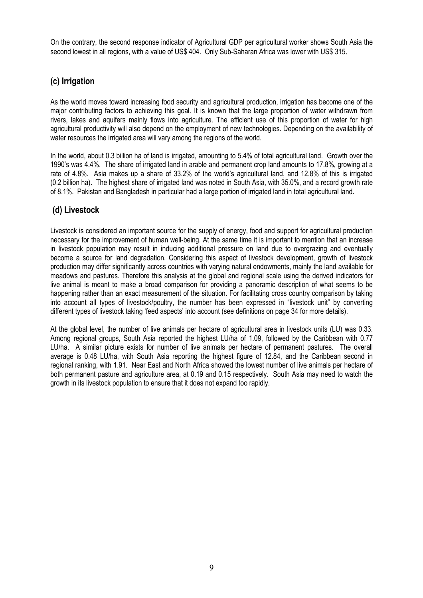On the contrary, the second response indicator of Agricultural GDP per agricultural worker shows South Asia the second lowest in all regions, with a value of US\$ 404. Only Sub-Saharan Africa was lower with US\$ 315.

## **(c) Irrigation**

As the world moves toward increasing food security and agricultural production, irrigation has become one of the major contributing factors to achieving this goal. It is known that the large proportion of water withdrawn from rivers, lakes and aquifers mainly flows into agriculture. The efficient use of this proportion of water for high agricultural productivity will also depend on the employment of new technologies. Depending on the availability of water resources the irrigated area will vary among the regions of the world.

In the world, about 0.3 billion ha of land is irrigated, amounting to 5.4% of total agricultural land. Growth over the 1990's was 4.4%. The share of irrigated land in arable and permanent crop land amounts to 17.8%, growing at a rate of 4.8%. Asia makes up a share of 33.2% of the world's agricultural land, and 12.8% of this is irrigated (0.2 billion ha). The highest share of irrigated land was noted in South Asia, with 35.0%, and a record growth rate of 8.1%. Pakistan and Bangladesh in particular had a large portion of irrigated land in total agricultural land.

### **(d) Livestock**

Livestock is considered an important source for the supply of energy, food and support for agricultural production necessary for the improvement of human well-being. At the same time it is important to mention that an increase in livestock population may result in inducing additional pressure on land due to overgrazing and eventually become a source for land degradation. Considering this aspect of livestock development, growth of livestock production may differ significantly across countries with varying natural endowments, mainly the land available for meadows and pastures. Therefore this analysis at the global and regional scale using the derived indicators for live animal is meant to make a broad comparison for providing a panoramic description of what seems to be happening rather than an exact measurement of the situation. For facilitating cross country comparison by taking into account all types of livestock/poultry, the number has been expressed in "livestock unit" by converting different types of livestock taking 'feed aspects' into account (see definitions on page 34 for more details).

At the global level, the number of live animals per hectare of agricultural area in livestock units (LU) was 0.33. Among regional groups, South Asia reported the highest LU/ha of 1.09, followed by the Caribbean with 0.77 LU/ha. A similar picture exists for number of live animals per hectare of permanent pastures. The overall average is 0.48 LU/ha, with South Asia reporting the highest figure of 12.84, and the Caribbean second in regional ranking, with 1.91. Near East and North Africa showed the lowest number of live animals per hectare of both permanent pasture and agriculture area, at 0.19 and 0.15 respectively. South Asia may need to watch the growth in its livestock population to ensure that it does not expand too rapidly.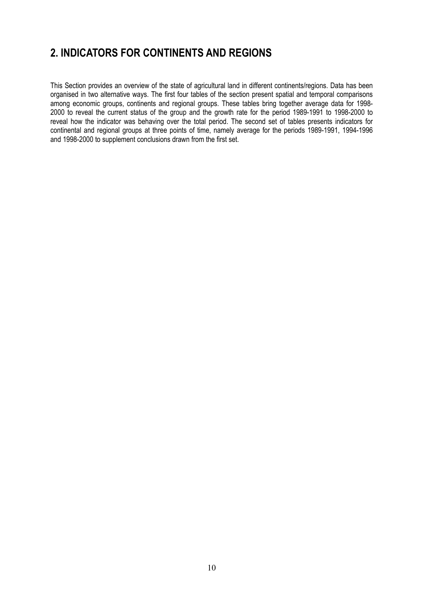## **2. INDICATORS FOR CONTINENTS AND REGIONS**

This Section provides an overview of the state of agricultural land in different continents/regions. Data has been organised in two alternative ways. The first four tables of the section present spatial and temporal comparisons among economic groups, continents and regional groups. These tables bring together average data for 1998- 2000 to reveal the current status of the group and the growth rate for the period 1989-1991 to 1998-2000 to reveal how the indicator was behaving over the total period. The second set of tables presents indicators for continental and regional groups at three points of time, namely average for the periods 1989-1991, 1994-1996 and 1998-2000 to supplement conclusions drawn from the first set.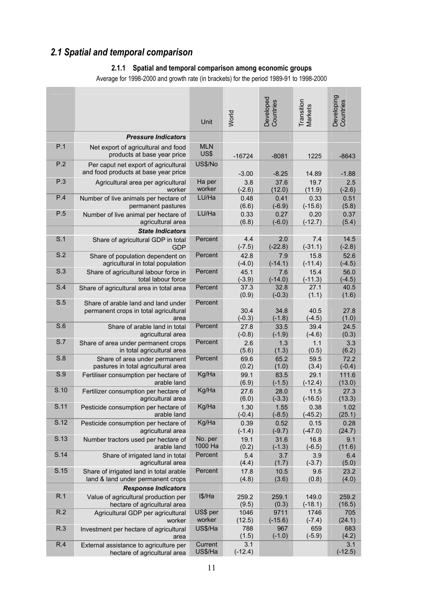## *2.1 Spatial and temporal comparison*

### **2.1.1 Spatial and temporal comparison among economic groups**

Average for 1998-2000 and growth rate (in brackets) for the period 1989-91 to 1998-2000

|      |                                                                                      | Unit               | World            | Developed<br>Countries | Transition<br>Markets | Developing<br>Countries |
|------|--------------------------------------------------------------------------------------|--------------------|------------------|------------------------|-----------------------|-------------------------|
|      | <b>Pressure Indicators</b>                                                           |                    |                  |                        |                       |                         |
| P.1  | Net export of agricultural and food<br>products at base year price                   | <b>MLN</b><br>US\$ | $-16724$         | $-8081$                | 1225                  | $-8643$                 |
| P.2  | Per caput net export of agricultural<br>and food products at base year price         | US\$/No            | $-3.00$          | $-8.25$                | 14.89                 | $-1.88$                 |
| P.3  | Agricultural area per agricultural<br>worker                                         | Ha per<br>worker   | 3.8<br>$(-2.6)$  | 37.6<br>(12.0)         | 19.7<br>(11.9)        | 2.5<br>$(-2.6)$         |
| P.4  | Number of live animals per hectare of<br>permanent pastures                          | LU/Ha              | 0.48<br>(6.6)    | 0.41<br>$(-6.9)$       | 0.33<br>$(-15.6)$     | 0.51<br>(5.8)           |
| P.5  | Number of live animal per hectare of<br>agricultural area                            | LU/Ha              | 0.33<br>(6.8)    | 0.27<br>$(-6.0)$       | 0.20<br>$(-12.7)$     | 0.37<br>(5.4)           |
|      | <b>State Indicators</b>                                                              |                    |                  |                        |                       |                         |
| S.1  | Share of agricultural GDP in total<br><b>GDP</b>                                     | Percent            | 4.4<br>$(-7.5)$  | 2.0<br>$(-22.8)$       | 7.4<br>$(-31.1)$      | 14.5<br>$(-2.8)$        |
| S.2  | Share of population dependent on<br>agricultural in total population                 | Percent            | 42.8<br>$(-4.0)$ | 7.9<br>$(-14.1)$       | 15.8<br>$(-11.4)$     | 52.6<br>$(-4.5)$        |
| S.3  | Share of agricultural labour force in<br>total labour force                          | Percent            | 45.1<br>$(-3.9)$ | 7.6<br>$(-14.0)$       | 15.4<br>$(-11.3)$     | 56.0<br>$(-4.5)$        |
| S.4  | Share of agricultural area in total area                                             | Percent            | 37.3<br>(0.9)    | 32.8<br>$(-0.3)$       | 27.1<br>(1.1)         | 40.5<br>(1.6)           |
| S.5  | Share of arable land and land under<br>permanent crops in total agricultural<br>area | Percent            | 30.4<br>$(-0.3)$ | 34.8<br>$(-1.8)$       | 40.5<br>$(-4.5)$      | 27.8<br>(1.0)           |
| S.6  | Share of arable land in total<br>agricultural area                                   | Percent            | 27.8<br>$(-0.8)$ | 33.5<br>$(-1.9)$       | 39.4<br>$(-4.6)$      | 24.5<br>(0.3)           |
| S.7  | Share of area under permanent crops<br>in total agricultural area                    | Percent            | 2.6<br>(5.6)     | 1.3<br>(1.3)           | 1.1<br>(0.5)          | 3.3<br>(6.2)            |
| S.8  | Share of area under permanent<br>pastures in total agricultural area                 | Percent            | 69.6<br>(0.2)    | 65.2<br>(1.0)          | 59.5<br>(3.4)         | 72.2<br>$(-0.4)$        |
| S.9  | Fertiliser consumption per hectare of<br>arable land                                 | Kg/Ha              | 99.1<br>(6.9)    | 83.5<br>$(-1.5)$       | 29.1<br>$(-12.4)$     | 111.6<br>(13.0)         |
| S.10 | Fertilizer consumption per hectare of<br>agricultural area                           | Kg/Ha              | 27.6<br>(6.0)    | 28.0<br>$(-3.3)$       | 11.5<br>$(-16.5)$     | 27.3<br>(13.3)          |
| S.11 | Pesticide consumption per hectare of<br>arable land                                  | Kg/Ha              | 1.30<br>$(-0.4)$ | 1.55<br>$(-8.5)$       | 0.38<br>$(-45.2)$     | 1.02<br>(25.1)          |
| S.12 | Pesticide consumption per hectare of<br>agricultural area                            | Kg/Ha              | 0.39<br>$(-1.4)$ | 0.52<br>$(-9.7)$       | 0.15<br>$(-47.0)$     | 0.28<br>(24.7)          |
| S.13 | Number tractors used per hectare of<br>arable land                                   | No. per<br>1000 Ha | 19.1<br>(0.2)    | 31.6<br>$(-1.3)$       | 16.8<br>$(-6.5)$      | 9.1<br>(11.6)           |
| S.14 | Share of irrigated land in total<br>agricultural area                                | Percent            | 5.4<br>(4.4)     | 3.7<br>(1.7)           | 3.9<br>$(-3.7)$       | 6.4<br>(5.0)            |
| S.15 | Share of irrigated land in total arable<br>land & land under permanent crops         | Percent            | 17.8<br>(4.8)    | 10.5<br>(3.6)          | 9.6<br>(0.8)          | 23.2<br>(4.0)           |
|      | <b>Response Indicators</b>                                                           |                    |                  |                        |                       |                         |
| R.1  | Value of agricultural production per<br>hectare of agricultural area                 | I\$/Ha             | 259.2<br>(9.5)   | 259.1<br>(0.3)         | 149.0<br>$(-18.1)$    | 259.2<br>(16.5)         |
| R.2  | Agricultural GDP per agricultural<br>worker                                          | US\$ per<br>worker | 1046<br>(12.5)   | 9711<br>$(-15.6)$      | 1746<br>$(-7.4)$      | 705<br>(24.1)           |
| R.3  | Investment per hectare of agricultural<br>area                                       | US\$/Ha            | 788<br>(1.5)     | 967<br>$(-1.0)$        | 659<br>$(-5.9)$       | 683<br>(4.2)            |
| R.4  | External assistance to agriculture per<br>hectare of agricultural area               | Current<br>US\$/Ha | 3.1<br>$(-12.4)$ |                        |                       | 3.1<br>$(-12.5)$        |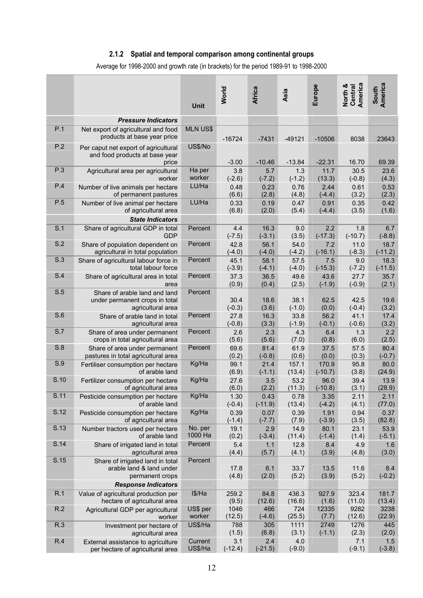### **2.1.2 Spatial and temporal comparison among continental groups**

Average for 1998-2000 and growth rate (in brackets) for the period 1989-91 to 1998-2000

|                  |                                                                                      | Unit               | World            | <b>Africa</b>     | Asia             | Europe             | America<br>North &<br>Central | South<br>America  |
|------------------|--------------------------------------------------------------------------------------|--------------------|------------------|-------------------|------------------|--------------------|-------------------------------|-------------------|
|                  | <b>Pressure Indicators</b>                                                           |                    |                  |                   |                  |                    |                               |                   |
| P.1              | Net export of agricultural and food<br>products at base year price                   | <b>MLN US\$</b>    | $-16724$         | $-7431$           | $-49121$         | $-10506$           | 8038                          | 23643             |
| P.2              | Per caput net export of agricultural<br>and food products at base year<br>price      | US\$/No            | $-3.00$          | $-10.46$          | $-13.84$         | $-22.31$           | 16.70                         | 69.39             |
| P.3              | Agricultural area per agricultural<br>worker                                         | Ha per<br>worker   | 3.8<br>$(-2.6)$  | 5.7<br>$(-7.2)$   | 1.3<br>$(-1.2)$  | 11.7<br>(13.3)     | 30.5<br>$(-0.8)$              | 23.6<br>(4.3)     |
| P.4              | Number of live animals per hectare<br>of permanent pastures                          | LU/Ha              | 0.48<br>(6.6)    | 0.23<br>(2.8)     | 0.76<br>(4.8)    | 2.44<br>$(-4.4)$   | 0.61<br>(3.2)                 | 0.53<br>(2.3)     |
| P.5              | Number of live animal per hectare<br>of agricultural area                            | LU/Ha              | 0.33<br>(6.8)    | 0.19<br>(2.0)     | 0.47<br>(5.4)    | 0.91<br>$(-4.4)$   | 0.35<br>(3.5)                 | 0.42<br>(1.6)     |
|                  | <b>State Indicators</b>                                                              |                    |                  |                   |                  |                    |                               |                   |
| S.1              | Share of agricultural GDP in total<br><b>GDP</b>                                     | Percent            | 4.4<br>$(-7.5)$  | 16.3<br>$(-3.1)$  | 9.0<br>(3.5)     | 2.2<br>$(-17.3)$   | 1.8<br>$(-10.7)$              | 6.7<br>$(-8.8)$   |
| S.2              | Share of population dependent on<br>agricultural in total population                 | Percent            | 42.8<br>$(-4.0)$ | 56.1<br>$(-4.0)$  | 54.0<br>$(-4.2)$ | 7.2<br>$(-16.1)$   | 11.0<br>$(-8.3)$              | 18.7<br>$(-11.2)$ |
| $\overline{S.3}$ | Share of agricultural labour force in<br>total labour force                          | Percent            | 45.1<br>$(-3.9)$ | 58.1<br>$(-4.1)$  | 57.5<br>$(-4.0)$ | 7.5<br>$(-15.3)$   | 9.0<br>$(-7.2)$               | 18.3<br>$(-11.5)$ |
| S.4              | Share of agricultural area in total<br>area                                          | Percent            | 37.3<br>(0.9)    | 36.5<br>(0.4)     | 49.6<br>(2.5)    | 43.6<br>$(-1.9)$   | 27.7<br>$(-0.9)$              | 35.7<br>(2.1)     |
| S.5              | Share of arable land and land<br>under permanent crops in total<br>agricultural area | Percent            | 30.4<br>$(-0.3)$ | 18.6<br>(3.6)     | 38.1<br>$(-1.0)$ | 62.5<br>(0.0)      | 42.5<br>$(-0.4)$              | 19.6<br>(3.2)     |
| S.6              | Share of arable land in total<br>agricultural area                                   | Percent            | 27.8<br>$(-0.8)$ | 16.3<br>(3.3)     | 33.8<br>$(-1.9)$ | 56.2<br>$(-0.1)$   | 41.1<br>$(-0.6)$              | 17.4<br>(3.2)     |
| S.7              | Share of area under permanent<br>crops in total agricultural area                    | Percent            | 2.6<br>(5.6)     | 2.3<br>(5.6)      | 4.3<br>(7.0)     | 6.4<br>(0.8)       | 1.3<br>(6.0)                  | 2.2<br>(2.5)      |
| S.8              | Share of area under permanent<br>pastures in total agricultural area                 | Percent            | 69.6<br>(0.2)    | 81.4<br>$(-0.8)$  | 61.9<br>(0.6)    | 37.5<br>(0.0)      | 57.5<br>(0.3)                 | 80.4<br>$(-0.7)$  |
| S.9              | Fertiliser consumption per hectare<br>of arable land                                 | Kg/Ha              | 99.1<br>(6.9)    | 21.4<br>$(-1.1)$  | 157.1<br>(13.4)  | 170.9<br>$(-10.7)$ | 95.8<br>(3.8)                 | 80.0<br>(24.9)    |
| S.10             | Fertilizer consumption per hectare<br>of agricultural area                           | Kg/Ha              | 27.6<br>(6.0)    | 3.5<br>(2.2)      | 53.2<br>(11.3)   | 96.0<br>$(-10.8)$  | 39.4<br>(3.1)                 | 13.9<br>(28.9)    |
| S.11             | Pesticide consumption per hectare<br>of arable land                                  | Kg/Ha              | 1.30<br>$(-0.4)$ | 0.43<br>$(-11.9)$ | 0.78<br>(13.4)   | 3.35<br>$(-4.2)$   | 2.11<br>(4.1)                 | 2.11<br>(77.0)    |
| S.12             | Pesticide consumption per hectare<br>of agricultural area                            | Kg/Ha              | 0.39<br>$(-1.4)$ | 0.07<br>$(-7.7)$  | 0.39<br>(7.9)    | 1.91<br>$(-3.9)$   | 0.94<br>(3.5)                 | 0.37<br>(82.8)    |
| S.13             | Number tractors used per hectare<br>of arable land                                   | No. per<br>1000 Ha | 19.1<br>(0.2)    | 2.9<br>$(-3.4)$   | 14.9<br>(11.4)   | 80.1<br>$(-1.4)$   | 23.1<br>(1.4)                 | 53.9<br>$(-5.1)$  |
| S.14             | Share of irrigated land in total<br>agricultural area                                | Percent            | 5.4<br>(4.4)     | 1.1<br>(5.7)      | 12.8<br>(4.1)    | 8.4<br>(3.9)       | 4.9<br>(4.8)                  | 1.6<br>(3.0)      |
| S.15             | Share of irrigated land in total<br>arable land & land under<br>permanent crops      | Percent            | 17.8<br>(4.8)    | 6.1<br>(2.0)      | 33.7<br>(5.2)    | 13.5<br>(3.9)      | 11.6<br>(5.2)                 | 8.4<br>$(-0.2)$   |
|                  | <b>Response Indicators</b>                                                           |                    |                  |                   |                  |                    |                               |                   |
| R.1              | Value of agricultural production per<br>hectare of agricultural area                 | I\$/Ha             | 259.2<br>(9.5)   | 84.8<br>(12.6)    | 436.3<br>(16.6)  | 927.9<br>(1.6)     | 323.4<br>(11.0)               | 181.7<br>(13.4)   |
| R.2              | Agricultural GDP per agricultural<br>worker                                          | US\$ per<br>worker | 1046<br>(12.5)   | 466<br>$(-4.6)$   | 724<br>(25.5)    | 12335<br>(7.7)     | 9282<br>(12.6)                | 3238<br>(22.9)    |
| R.3              | Investment per hectare of<br>agricultural area                                       | US\$/Ha            | 788<br>(1.5)     | 305<br>(6.8)      | 1111<br>(3.1)    | 2749<br>$(-1.1)$   | 1276<br>(2.3)                 | 445<br>(2.0)      |
| R.4              | External assistance to agriculture<br>per hectare of agricultural area               | Current<br>US\$/Ha | 3.1<br>$(-12.4)$ | 2.4<br>$(-21.5)$  | 4.0<br>$(-9.0)$  |                    | 7.1<br>$(-9.1)$               | 1.5<br>$(-3.8)$   |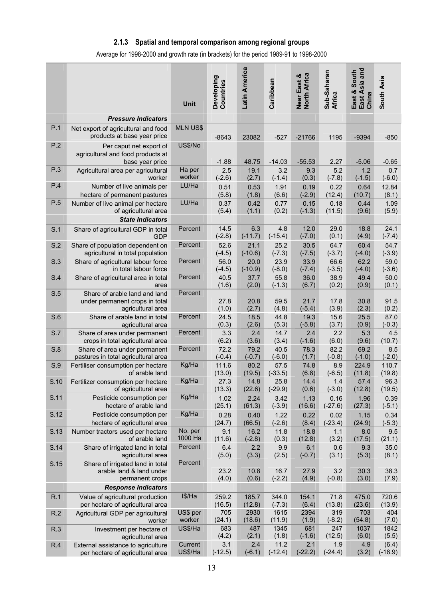## **2.1.3 Spatial and temporal comparison among regional groups**

Average for 1998-2000 and growth rate (in brackets) for the period 1989-91 to 1998-2000

|            |                                                                                      | Unit                      | Developing<br>Countries | Latin America     | Caribbean         | <b>Near East &amp;<br/>North Africa</b> | Sub-Saharan<br><b>Africa</b> | East & South<br>East Asia and<br>China | South Asia         |
|------------|--------------------------------------------------------------------------------------|---------------------------|-------------------------|-------------------|-------------------|-----------------------------------------|------------------------------|----------------------------------------|--------------------|
|            | <b>Pressure Indicators</b>                                                           |                           |                         |                   |                   |                                         |                              |                                        |                    |
| P.1        | Net export of agricultural and food<br>products at base year price                   | <b>MLN US\$</b>           | $-8643$                 | 23082             | $-527$            | $-21766$                                | 1195                         | $-9394$                                | $-850$             |
| P.2        | Per caput net export of<br>agricultural and food products at                         | US\$/No                   |                         |                   |                   |                                         |                              |                                        |                    |
|            | base year price                                                                      |                           | $-1.88$                 | 48.75             | $-14.03$          | $-55.53$                                | 2.27                         | $-5.06$                                | $-0.65$            |
| P.3<br>P.4 | Agricultural area per agricultural<br>worker                                         | Ha per<br>worker<br>LU/Ha | 2.5<br>$(-2.6)$         | 19.1<br>(2.7)     | 3.2<br>$(-1.4)$   | 9.3<br>(0.3)                            | 5.2<br>$(-7.8)$              | 1.2<br>$(-1.5)$                        | 0.7<br>$(-6.0)$    |
|            | Number of live animals per<br>hectare of permanent pastures                          |                           | 0.51<br>(5.8)           | 0.53<br>(1.8)     | 1.91<br>(6.6)     | 0.19<br>$(-2.9)$                        | 0.22<br>(12.4)               | 0.64<br>(10.7)                         | 12.84<br>(8.1)     |
| P.5        | Number of live animal per hectare<br>of agricultural area                            | LU/Ha                     | 0.37<br>(5.4)           | 0.42<br>(1.1)     | 0.77<br>(0.2)     | 0.15<br>$(-1.3)$                        | 0.18<br>(11.5)               | 0.44<br>(9.6)                          | 1.09<br>(5.9)      |
|            | <b>State Indicators</b>                                                              |                           |                         |                   |                   |                                         |                              |                                        |                    |
| S.1        | Share of agricultural GDP in total<br><b>GDP</b>                                     | Percent                   | 14.5<br>$(-2.8)$        | 6.3<br>$(-11.7)$  | 4.8<br>$(-15.4)$  | 12.0<br>$(-7.0)$                        | 29.0<br>(0.1)                | 18.8<br>(4.9)                          | 24.1<br>$(-7.4)$   |
| S.2        | Share of population dependent on<br>agricultural in total population                 | Percent                   | 52.6<br>$(-4.5)$        | 21.1<br>$(-10.6)$ | 25.2<br>$(-7.3)$  | 30.5<br>$(-7.5)$                        | 64.7<br>$(-3.7)$             | 60.4<br>$(-4.0)$                       | 54.7<br>$(-3.9)$   |
| S.3        | Share of agricultural labour force<br>in total labour force                          | Percent                   | 56.0<br>$(-4.5)$        | 20.0<br>$(-10.9)$ | 23.9<br>$(-8.0)$  | 33.9<br>$(-7.4)$                        | 66.6<br>$(-3.5)$             | 62.2<br>$(-4.0)$                       | 59.0<br>$(-3.6)$   |
| S.4        | Share of agricultural area in total<br>area                                          | Percent                   | 40.5<br>(1.6)           | 37.7<br>(2.0)     | 55.8<br>$(-1.3)$  | 36.0<br>(6.7)                           | 38.9<br>(0.2)                | 49.4<br>(0.9)                          | 50.0<br>(0.1)      |
| S.5        | Share of arable land and land<br>under permanent crops in total<br>agricultural area | Percent                   | 27.8<br>(1.0)           | 20.8<br>(2.7)     | 59.5<br>(4.8)     | 21.7<br>$(-5.4)$                        | 17.8<br>(3.9)                | 30.8<br>(2.3)                          | 91.5<br>(0.2)      |
| S.6        | Share of arable land in total<br>agricultural area                                   | Percent                   | 24.5<br>(0.3)           | 18.5<br>(2.6)     | 44.8<br>(5.3)     | 19.3<br>$(-5.8)$                        | 15.6<br>(3.7)                | 25.5<br>(0.9)                          | 87.0<br>$(-0.3)$   |
| S.7        | Share of area under permanent<br>crops in total agricultural area                    | Percent                   | 3.3<br>(6.2)            | 2.4<br>(3.6)      | 14.7<br>(3.4)     | 2.4<br>$(-1.6)$                         | 2.2<br>(6.0)                 | 5.3<br>(9.6)                           | 4.5<br>(10.7)      |
| S.8        | Share of area under permanent<br>pastures in total agricultural area                 | Percent                   | 72.2<br>$(-0.4)$        | 79.2<br>$(-0.7)$  | 40.5<br>$(-6.0)$  | 78.3<br>(1.7)                           | 82.2<br>$(-0.8)$             | 69.2<br>$(-1.0)$                       | 8.5<br>$(-2.0)$    |
| S.9        | Fertiliser consumption per hectare<br>of arable land                                 | Kg/Ha                     | 111.6<br>(13.0)         | 80.2<br>(19.5)    | 57.5<br>$(-33.5)$ | 74.8<br>(6.8)                           | 8.9<br>$(-6.5)$              | 224.9<br>(11.8)                        | 110.7<br>(19.8)    |
| S.10       | Fertilizer consumption per hectare<br>of agricultural area                           | Kg/Ha                     | 27.3<br>(13.3)          | 14.8<br>(22.6)    | 25.8<br>$(-29.9)$ | 14.4<br>(0.6)                           | 1.4<br>$(-3.0)$              | 57.4<br>(12.8)                         | 96.3<br>(19.5)     |
| S.11       | Pesticide consumption per<br>hectare of arable land                                  | Kg/Ha                     | 1.02<br>(25.1)          | 2.24<br>(61.3)    | 3.42<br>$(-3.9)$  | 1.13<br>(16.6)                          | 0.16<br>$(-27.6)$            | 1.96<br>(27.3)                         | 0.39<br>$(-5.1)$   |
| S.12       | Pesticide consumption per                                                            | Kg/Ha                     | 0.28                    | 0.40              | 1.22              | 0.22                                    | 0.02                         | 1.15                                   | 0.34               |
| S.13       | hectare of agricultural area<br>Number tractors used per hectare                     | No. per                   | (24.7)<br>9.1           | (66.5)<br>16.2    | $(-2.6)$<br>11.8  | (8.4)<br>18.8                           | $(-23.4)$<br>1.1             | (24.9)<br>8.0                          | $(-5.3)$<br>9.5    |
|            | of arable land                                                                       | 1000 Ha                   | (11.6)                  | $(-2.8)$          | (0.3)             | (12.8)                                  | (3.2)                        | (17.5)                                 | (21.1)             |
| S.14       | Share of irrigated land in total<br>agricultural area                                | Percent                   | 6.4<br>(5.0)            | 2.2<br>(3.3)      | 9.9<br>(2.5)      | 6.1<br>$(-0.7)$                         | 0.6<br>(3.1)                 | 9.3<br>(5.3)                           | 35.0<br>(8.1)      |
| S.15       | Share of irrigated land in total<br>arable land & land under<br>permanent crops      | Percent                   | 23.2<br>(4.0)           | 10.8<br>(0.6)     | 16.7<br>$(-2.2)$  | 27.9<br>(4.9)                           | 3.2<br>$(-0.8)$              | 30.3<br>(3.0)                          | 38.3<br>(7.9)      |
|            | <b>Response Indicators</b>                                                           |                           |                         |                   |                   |                                         |                              |                                        |                    |
| R.1        | Value of agricultural production<br>per hectare of agricultural area                 | I\$/Ha                    | 259.2<br>(16.5)         | 185.7<br>(12.8)   | 344.0<br>$(-7.3)$ | 154.1<br>(6.4)                          | 71.8<br>(13.8)               | 475.0<br>(23.6)                        | 720.6<br>(13.9)    |
| R.2        | Agricultural GDP per agricultural<br>worker                                          | US\$ per<br>worker        | 705<br>(24.1)           | 2930<br>(18.6)    | 1615<br>(11.9)    | 2394<br>(1.9)                           | 319<br>$(-8.2)$              | 703<br>(54.8)                          | 404<br>(7.0)       |
| R.3        | Investment per hectare of<br>agricultural area                                       | US\$/Ha                   | 683<br>(4.2)            | 487<br>(2.1)      | 1345<br>(1.8)     | 681<br>$(-1.6)$                         | 247<br>(12.5)                | 1037<br>(6.0)                          | 1842<br>(5.5)      |
| R.4        | External assistance to agriculture<br>per hectare of agricultural area               | Current<br>US\$/Ha        | 3.1<br>$(-12.5)$        | 2.4<br>$(-6.1)$   | 11.2<br>$(-12.4)$ | 2.1<br>$(-22.2)$                        | 1.9<br>$(-24.4)$             | 4.9<br>(3.2)                           | (6.4)<br>$(-18.9)$ |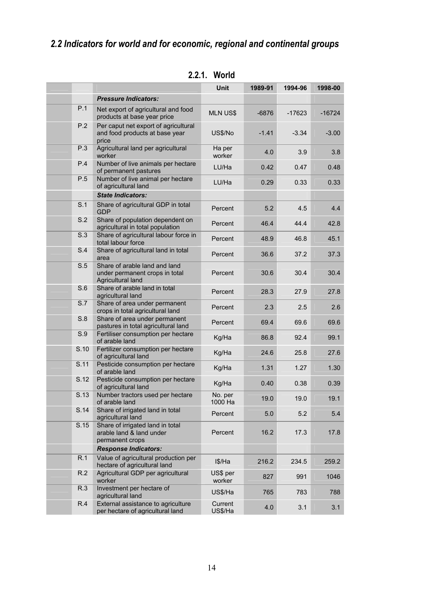|      |                                                                                      | <b>Unit</b>        | 1989-91 | 1994-96  | 1998-00  |
|------|--------------------------------------------------------------------------------------|--------------------|---------|----------|----------|
|      | <b>Pressure Indicators:</b>                                                          |                    |         |          |          |
| P.1  | Net export of agricultural and food<br>products at base year price                   | <b>MLN US\$</b>    | $-6876$ | $-17623$ | $-16724$ |
| P.2  | Per caput net export of agricultural<br>and food products at base year<br>price      | US\$/No            | $-1.41$ | $-3.34$  | $-3.00$  |
| P.3  | Agricultural land per agricultural<br>worker                                         | Ha per<br>worker   | 4.0     | 3.9      | 3.8      |
| P.4  | Number of live animals per hectare<br>of permanent pastures                          | LU/Ha              | 0.42    | 0.47     | 0.48     |
| P.5  | Number of live animal per hectare<br>of agricultural land                            | LU/Ha              | 0.29    | 0.33     | 0.33     |
|      | <b>State Indicators:</b>                                                             |                    |         |          |          |
| S.1  | Share of agricultural GDP in total<br><b>GDP</b>                                     | Percent            | 5.2     | 4.5      | 4.4      |
| S.2  | Share of population dependent on<br>agricultural in total population                 | Percent            | 46.4    | 44.4     | 42.8     |
| S.3  | Share of agricultural labour force in<br>total labour force                          | Percent            | 48.9    | 46.8     | 45.1     |
| S.4  | Share of agricultural land in total<br>area                                          | Percent            | 36.6    | 37.2     | 37.3     |
| S.5  | Share of arable land and land<br>under permanent crops in total<br>Agricultural land | Percent            | 30.6    | 30.4     | 30.4     |
| S.6  | Share of arable land in total<br>agricultural land                                   | Percent            | 28.3    | 27.9     | 27.8     |
| S.7  | Share of area under permanent<br>crops in total agricultural land                    | Percent            | 2.3     | 2.5      | 2.6      |
| S.8  | Share of area under permanent<br>pastures in total agricultural land                 | Percent            | 69.4    | 69.6     | 69.6     |
| S.9  | Fertiliser consumption per hectare<br>of arable land                                 | Kg/Ha              | 86.8    | 92.4     | 99.1     |
| S.10 | Fertilizer consumption per hectare<br>of agricultural land                           | Kg/Ha              | 24.6    | 25.8     | 27.6     |
| S.11 | Pesticide consumption per hectare<br>of arable land                                  | Kg/Ha              | 1.31    | 1.27     | 1.30     |
| S.12 | Pesticide consumption per hectare<br>of agricultural land                            | Kg/Ha              | 0.40    | 0.38     | 0.39     |
| S.13 | Number tractors used per hectare<br>of arable land                                   | No. per<br>1000 Ha | 19.0    | 19.0     | 19.1     |
| S.14 | Share of irrigated land in total<br>agricultural land                                | Percent            | 5.0     | 5.2      | 5.4      |
| S.15 | Share of irrigated land in total<br>arable land & land under<br>permanent crops      | Percent            | 16.2    | 17.3     | 17.8     |
|      | <b>Response Indicators:</b>                                                          |                    |         |          |          |
| R.1  | Value of agricultural production per<br>hectare of agricultural land                 | I\$/Ha             | 216.2   | 234.5    | 259.2    |
| R.2  | Agricultural GDP per agricultural<br>worker                                          | US\$ per<br>worker | 827     | 991      | 1046     |
| R.3  | Investment per hectare of<br>agricultural land                                       | US\$/Ha            | 765     | 783      | 788      |
| R.4  | External assistance to agriculture<br>per hectare of agricultural land               | Current<br>US\$/Ha | 4.0     | 3.1      | 3.1      |

## **2.2.1. World**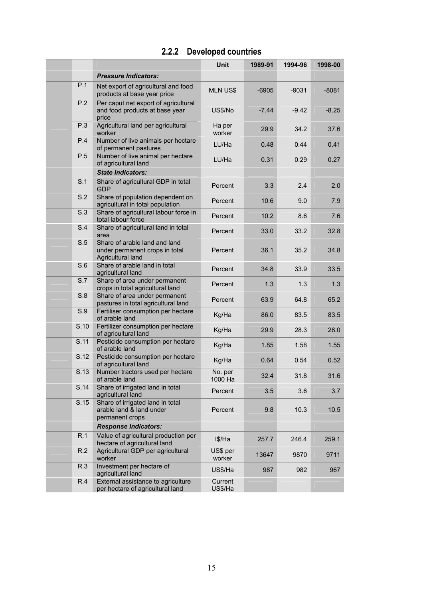|  |  | 2.2.2 Developed countries |
|--|--|---------------------------|
|--|--|---------------------------|

|      |                                                                                      | <b>Unit</b>        | 1989-91 | 1994-96 | 1998-00 |
|------|--------------------------------------------------------------------------------------|--------------------|---------|---------|---------|
|      | <b>Pressure Indicators:</b>                                                          |                    |         |         |         |
| P.1  | Net export of agricultural and food<br>products at base year price                   | <b>MLN US\$</b>    | $-6905$ | $-9031$ | $-8081$ |
| P.2  | Per caput net export of agricultural<br>and food products at base year<br>price      | US\$/No            | $-7.44$ | $-9.42$ | $-8.25$ |
| P.3  | Agricultural land per agricultural<br>worker                                         | Ha per<br>worker   | 29.9    | 34.2    | 37.6    |
| P.4  | Number of live animals per hectare<br>of permanent pastures                          | LU/Ha              | 0.48    | 0.44    | 0.41    |
| P.5  | Number of live animal per hectare<br>of agricultural land                            | LU/Ha              | 0.31    | 0.29    | 0.27    |
|      | <b>State Indicators:</b>                                                             |                    |         |         |         |
| S.1  | Share of agricultural GDP in total<br><b>GDP</b>                                     | Percent            | 3.3     | 2.4     | 2.0     |
| S.2  | Share of population dependent on<br>agricultural in total population                 | Percent            | 10.6    | 9.0     | 7.9     |
| S.3  | Share of agricultural labour force in<br>total labour force                          | Percent            | 10.2    | 8.6     | 7.6     |
| S.4  | Share of agricultural land in total<br>area                                          | Percent            | 33.0    | 33.2    | 32.8    |
| S.5  | Share of arable land and land<br>under permanent crops in total<br>Agricultural land | Percent            | 36.1    | 35.2    | 34.8    |
| S.6  | Share of arable land in total<br>agricultural land                                   | Percent            | 34.8    | 33.9    | 33.5    |
| S.7  | Share of area under permanent<br>crops in total agricultural land                    | Percent            | 1.3     | 1.3     | 1.3     |
| S.8  | Share of area under permanent<br>pastures in total agricultural land                 | Percent            | 63.9    | 64.8    | 65.2    |
| S.9  | Fertiliser consumption per hectare<br>of arable land                                 | Kg/Ha              | 86.0    | 83.5    | 83.5    |
| S.10 | Fertilizer consumption per hectare<br>of agricultural land                           | Kg/Ha              | 29.9    | 28.3    | 28.0    |
| S.11 | Pesticide consumption per hectare<br>of arable land                                  | Kg/Ha              | 1.85    | 1.58    | 1.55    |
| S.12 | Pesticide consumption per hectare<br>of agricultural land                            | Kg/Ha              | 0.64    | 0.54    | 0.52    |
| S.13 | Number tractors used per hectare<br>of arable land                                   | No. per<br>1000 Ha | 32.4    | 31.8    | 31.6    |
| S.14 | Share of irrigated land in total<br>agricultural land                                | Percent            | 3.5     | 3.6     | 3.7     |
| S.15 | Share of irrigated land in total<br>arable land & land under<br>permanent crops      | Percent            | 9.8     | 10.3    | 10.5    |
|      | <b>Response Indicators:</b>                                                          |                    |         |         |         |
| R.1  | Value of agricultural production per<br>hectare of agricultural land                 | I\$/Ha             | 257.7   | 246.4   | 259.1   |
| R.2  | Agricultural GDP per agricultural<br>worker                                          | US\$ per<br>worker | 13647   | 9870    | 9711    |
| R.3  | Investment per hectare of<br>agricultural land                                       | US\$/Ha            | 987     | 982     | 967     |
| R.4  | External assistance to agriculture<br>per hectare of agricultural land               | Current<br>US\$/Ha |         |         |         |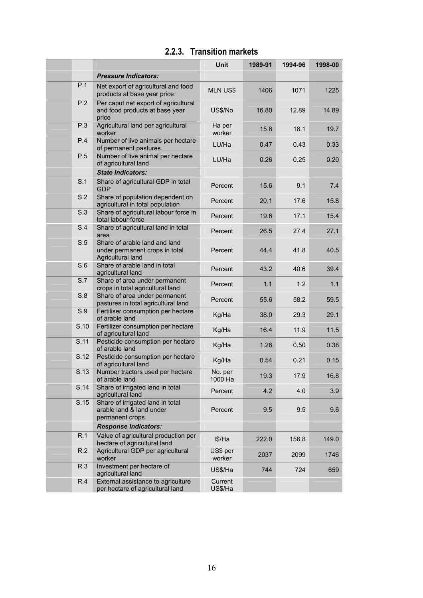|  | 2.2.3. Transition markets |  |
|--|---------------------------|--|
|--|---------------------------|--|

|      |                                                                                      | <b>Unit</b>        | 1989-91 | 1994-96 | 1998-00 |
|------|--------------------------------------------------------------------------------------|--------------------|---------|---------|---------|
|      | <b>Pressure Indicators:</b>                                                          |                    |         |         |         |
| P.1  | Net export of agricultural and food<br>products at base year price                   | <b>MLN US\$</b>    | 1406    | 1071    | 1225    |
| P.2  | Per caput net export of agricultural<br>and food products at base year<br>price      | US\$/No            | 16.80   | 12.89   | 14.89   |
| P.3  | Agricultural land per agricultural<br>worker                                         | Ha per<br>worker   | 15.8    | 18.1    | 19.7    |
| P.4  | Number of live animals per hectare<br>of permanent pastures                          | LU/Ha              | 0.47    | 0.43    | 0.33    |
| P.5  | Number of live animal per hectare<br>of agricultural land                            | LU/Ha              | 0.26    | 0.25    | 0.20    |
|      | <b>State Indicators:</b>                                                             |                    |         |         |         |
| S.1  | Share of agricultural GDP in total<br><b>GDP</b>                                     | Percent            | 15.6    | 9.1     | 7.4     |
| S.2  | Share of population dependent on<br>agricultural in total population                 | Percent            | 20.1    | 17.6    | 15.8    |
| S.3  | Share of agricultural labour force in<br>total labour force                          | Percent            | 19.6    | 17.1    | 15.4    |
| S.4  | Share of agricultural land in total<br>area                                          | Percent            | 26.5    | 27.4    | 27.1    |
| S.5  | Share of arable land and land<br>under permanent crops in total<br>Agricultural land | Percent            | 44.4    | 41.8    | 40.5    |
| S.6  | Share of arable land in total<br>agricultural land                                   | Percent            | 43.2    | 40.6    | 39.4    |
| S.7  | Share of area under permanent<br>crops in total agricultural land                    | Percent            | 1.1     | 1.2     | 1.1     |
| S.8  | Share of area under permanent<br>pastures in total agricultural land                 | Percent            | 55.6    | 58.2    | 59.5    |
| S.9  | Fertiliser consumption per hectare<br>of arable land                                 | Kg/Ha              | 38.0    | 29.3    | 29.1    |
| S.10 | Fertilizer consumption per hectare<br>of agricultural land                           | Kg/Ha              | 16.4    | 11.9    | 11.5    |
| S.11 | Pesticide consumption per hectare<br>of arable land                                  | Kg/Ha              | 1.26    | 0.50    | 0.38    |
| S.12 | Pesticide consumption per hectare<br>of agricultural land                            | Kg/Ha              | 0.54    | 0.21    | 0.15    |
| S.13 | Number tractors used per hectare<br>of arable land                                   | No. per<br>1000 Ha | 19.3    | 17.9    | 16.8    |
| S.14 | Share of irrigated land in total<br>agricultural land                                | Percent            | 4.2     | 4.0     | 3.9     |
| S.15 | Share of irrigated land in total<br>arable land & land under<br>permanent crops      | Percent            | 9.5     | 9.5     | 9.6     |
|      | <b>Response Indicators:</b>                                                          |                    |         |         |         |
| R.1  | Value of agricultural production per<br>hectare of agricultural land                 | I\$/Ha             | 222.0   | 156.8   | 149.0   |
| R.2  | Agricultural GDP per agricultural<br>worker                                          | US\$ per<br>worker | 2037    | 2099    | 1746    |
| R.3  | Investment per hectare of<br>agricultural land                                       | US\$/Ha            | 744     | 724     | 659     |
| R.4  | External assistance to agriculture<br>per hectare of agricultural land               | Current<br>US\$/Ha |         |         |         |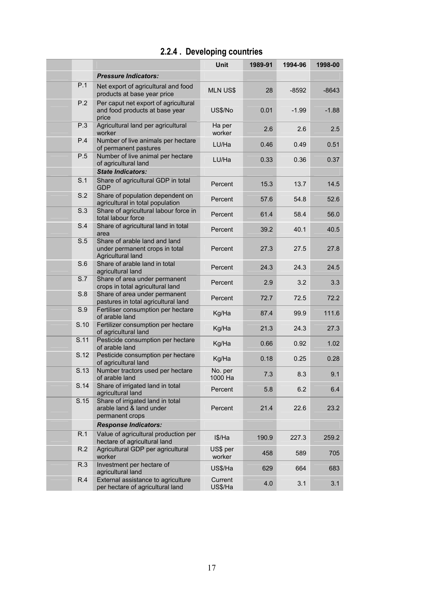|  | 2.2.4 Developing countries |  |
|--|----------------------------|--|
|--|----------------------------|--|

|      |                                                                                      | Unit               | 1989-91 | 1994-96 | 1998-00 |
|------|--------------------------------------------------------------------------------------|--------------------|---------|---------|---------|
|      | <b>Pressure Indicators:</b>                                                          |                    |         |         |         |
| P.1  | Net export of agricultural and food<br>products at base year price                   | <b>MLN US\$</b>    | 28      | $-8592$ | $-8643$ |
| P.2  | Per caput net export of agricultural<br>and food products at base year<br>price      | US\$/No            | 0.01    | $-1.99$ | $-1.88$ |
| P.3  | Agricultural land per agricultural<br>worker                                         | Ha per<br>worker   | 2.6     | 2.6     | 2.5     |
| P.4  | Number of live animals per hectare<br>of permanent pastures                          | LU/Ha              | 0.46    | 0.49    | 0.51    |
| P.5  | Number of live animal per hectare<br>of agricultural land                            | LU/Ha              | 0.33    | 0.36    | 0.37    |
|      | <b>State Indicators:</b>                                                             |                    |         |         |         |
| S.1  | Share of agricultural GDP in total<br><b>GDP</b>                                     | Percent            | 15.3    | 13.7    | 14.5    |
| S.2  | Share of population dependent on<br>agricultural in total population                 | Percent            | 57.6    | 54.8    | 52.6    |
| S.3  | Share of agricultural labour force in<br>total labour force                          | Percent            | 61.4    | 58.4    | 56.0    |
| S.4  | Share of agricultural land in total<br>area                                          | Percent            | 39.2    | 40.1    | 40.5    |
| S.5  | Share of arable land and land<br>under permanent crops in total<br>Agricultural land | Percent            | 27.3    | 27.5    | 27.8    |
| S.6  | Share of arable land in total<br>agricultural land                                   | Percent            | 24.3    | 24.3    | 24.5    |
| S.7  | Share of area under permanent<br>crops in total agricultural land                    | Percent            | 2.9     | 3.2     | 3.3     |
| S.8  | Share of area under permanent<br>pastures in total agricultural land                 | Percent            | 72.7    | 72.5    | 72.2    |
| S.9  | Fertiliser consumption per hectare<br>of arable land                                 | Kg/Ha              | 87.4    | 99.9    | 111.6   |
| S.10 | Fertilizer consumption per hectare<br>of agricultural land                           | Kg/Ha              | 21.3    | 24.3    | 27.3    |
| S.11 | Pesticide consumption per hectare<br>of arable land                                  | Kg/Ha              | 0.66    | 0.92    | 1.02    |
| S.12 | Pesticide consumption per hectare<br>of agricultural land                            | Kg/Ha              | 0.18    | 0.25    | 0.28    |
| S.13 | Number tractors used per hectare<br>of arable land                                   | No. per<br>1000 Ha | 7.3     | 8.3     | 9.1     |
| S.14 | Share of irrigated land in total<br>agricultural land                                | Percent            | 5.8     | 6.2     | 6.4     |
| S.15 | Share of irrigated land in total<br>arable land & land under<br>permanent crops      | Percent            | 21.4    | 22.6    | 23.2    |
|      | <b>Response Indicators:</b>                                                          |                    |         |         |         |
| R.1  | Value of agricultural production per<br>hectare of agricultural land                 | I\$/Ha             | 190.9   | 227.3   | 259.2   |
| R.2  | Agricultural GDP per agricultural<br>worker                                          | US\$ per<br>worker | 458     | 589     | 705     |
| R.3  | Investment per hectare of<br>agricultural land                                       | US\$/Ha            | 629     | 664     | 683     |
| R.4  | External assistance to agriculture<br>per hectare of agricultural land               | Current<br>US\$/Ha | 4.0     | 3.1     | 3.1     |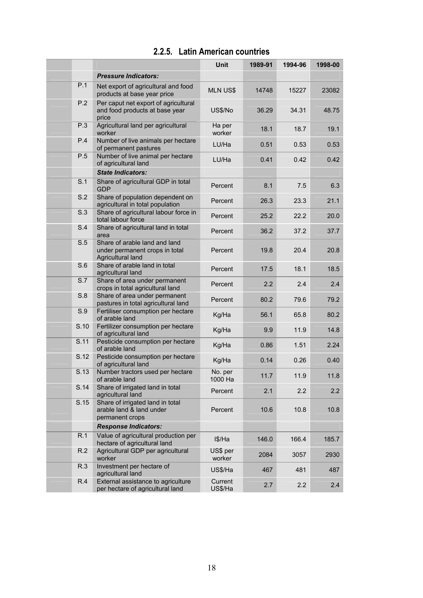|      |                                                                                      | <b>Unit</b>        | 1989-91 | 1994-96 | 1998-00 |
|------|--------------------------------------------------------------------------------------|--------------------|---------|---------|---------|
|      | <b>Pressure Indicators:</b>                                                          |                    |         |         |         |
| P.1  | Net export of agricultural and food<br>products at base year price                   | <b>MLN US\$</b>    | 14748   | 15227   | 23082   |
| P.2  | Per caput net export of agricultural<br>and food products at base year<br>price      | US\$/No            | 36.29   | 34.31   | 48.75   |
| P.3  | Agricultural land per agricultural<br>worker                                         | Ha per<br>worker   | 18.1    | 18.7    | 19.1    |
| P.4  | Number of live animals per hectare<br>of permanent pastures                          | LU/Ha              | 0.51    | 0.53    | 0.53    |
| P.5  | Number of live animal per hectare<br>of agricultural land                            | LU/Ha              | 0.41    | 0.42    | 0.42    |
|      | <b>State Indicators:</b>                                                             |                    |         |         |         |
| S.1  | Share of agricultural GDP in total<br><b>GDP</b>                                     | Percent            | 8.1     | 7.5     | 6.3     |
| S.2  | Share of population dependent on<br>agricultural in total population                 | Percent            | 26.3    | 23.3    | 21.1    |
| S.3  | Share of agricultural labour force in<br>total labour force                          | Percent            | 25.2    | 22.2    | 20.0    |
| S.4  | Share of agricultural land in total<br>area                                          | Percent            | 36.2    | 37.2    | 37.7    |
| S.5  | Share of arable land and land<br>under permanent crops in total<br>Agricultural land | Percent            | 19.8    | 20.4    | 20.8    |
| S.6  | Share of arable land in total<br>agricultural land                                   | Percent            | 17.5    | 18.1    | 18.5    |
| S.7  | Share of area under permanent<br>crops in total agricultural land                    | Percent            | 2.2     | 2.4     | 2.4     |
| S.8  | Share of area under permanent<br>pastures in total agricultural land                 | Percent            | 80.2    | 79.6    | 79.2    |
| S.9  | Fertiliser consumption per hectare<br>of arable land                                 | Kg/Ha              | 56.1    | 65.8    | 80.2    |
| S.10 | Fertilizer consumption per hectare<br>of agricultural land                           | Kg/Ha              | 9.9     | 11.9    | 14.8    |
| S.11 | Pesticide consumption per hectare<br>of arable land                                  | Kg/Ha              | 0.86    | 1.51    | 2.24    |
| S.12 | Pesticide consumption per hectare<br>of agricultural land                            | Kg/Ha              | 0.14    | 0.26    | 0.40    |
| S.13 | Number tractors used per hectare<br>of arable land                                   | No. per<br>1000 Ha | 11.7    | 11.9    | 11.8    |
| S.14 | Share of irrigated land in total<br>agricultural land                                | Percent            | 2.1     | 2.2     | 2.2     |
| S.15 | Share of irrigated land in total<br>arable land & land under<br>permanent crops      | Percent            | 10.6    | 10.8    | 10.8    |
|      | <b>Response Indicators:</b>                                                          |                    |         |         |         |
| R.1  | Value of agricultural production per<br>hectare of agricultural land                 | I\$/Ha             | 146.0   | 166.4   | 185.7   |
| R.2  | Agricultural GDP per agricultural<br>worker                                          | US\$ per<br>worker | 2084    | 3057    | 2930    |
| R.3  | Investment per hectare of<br>agricultural land                                       | US\$/Ha            | 467     | 481     | 487     |
| R.4  | External assistance to agriculture<br>per hectare of agricultural land               | Current<br>US\$/Ha | 2.7     | 2.2     | 2.4     |

## **2.2.5. Latin American countries**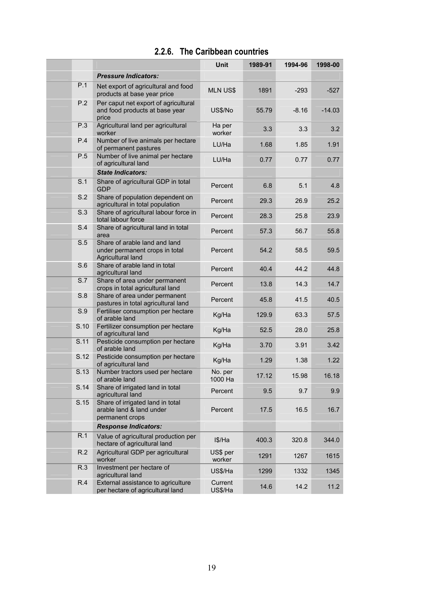|      |                                                                                      | <b>Unit</b>        | 1989-91 | 1994-96 | 1998-00  |
|------|--------------------------------------------------------------------------------------|--------------------|---------|---------|----------|
|      | <b>Pressure Indicators:</b>                                                          |                    |         |         |          |
| P.1  | Net export of agricultural and food<br>products at base year price                   | <b>MLN US\$</b>    | 1891    | $-293$  | $-527$   |
| P.2  | Per caput net export of agricultural<br>and food products at base year<br>price      | US\$/No            | 55.79   | $-8.16$ | $-14.03$ |
| P.3  | Agricultural land per agricultural<br>worker                                         | Ha per<br>worker   | 3.3     | 3.3     | 3.2      |
| P.4  | Number of live animals per hectare<br>of permanent pastures                          | LU/Ha              | 1.68    | 1.85    | 1.91     |
| P.5  | Number of live animal per hectare<br>of agricultural land                            | LU/Ha              | 0.77    | 0.77    | 0.77     |
|      | <b>State Indicators:</b>                                                             |                    |         |         |          |
| S.1  | Share of agricultural GDP in total<br><b>GDP</b>                                     | Percent            | 6.8     | 5.1     | 4.8      |
| S.2  | Share of population dependent on<br>agricultural in total population                 | Percent            | 29.3    | 26.9    | 25.2     |
| S.3  | Share of agricultural labour force in<br>total labour force                          | Percent            | 28.3    | 25.8    | 23.9     |
| S.4  | Share of agricultural land in total<br>area                                          | Percent            | 57.3    | 56.7    | 55.8     |
| S.5  | Share of arable land and land<br>under permanent crops in total<br>Agricultural land | Percent            | 54.2    | 58.5    | 59.5     |
| S.6  | Share of arable land in total<br>agricultural land                                   | Percent            | 40.4    | 44.2    | 44.8     |
| S.7  | Share of area under permanent<br>crops in total agricultural land                    | Percent            | 13.8    | 14.3    | 14.7     |
| S.8  | Share of area under permanent<br>pastures in total agricultural land                 | Percent            | 45.8    | 41.5    | 40.5     |
| S.9  | Fertiliser consumption per hectare<br>of arable land                                 | Kg/Ha              | 129.9   | 63.3    | 57.5     |
| S.10 | Fertilizer consumption per hectare<br>of agricultural land                           | Kg/Ha              | 52.5    | 28.0    | 25.8     |
| S.11 | Pesticide consumption per hectare<br>of arable land                                  | Kg/Ha              | 3.70    | 3.91    | 3.42     |
| S.12 | Pesticide consumption per hectare<br>of agricultural land                            | Kg/Ha              | 1.29    | 1.38    | 1.22     |
| S.13 | Number tractors used per hectare<br>of arable land                                   | No. per<br>1000 Ha | 17.12   | 15.98   | 16.18    |
| S.14 | Share of irrigated land in total<br>agricultural land                                | Percent            | 9.5     | 9.7     | 9.9      |
| S.15 | Share of irrigated land in total<br>arable land & land under<br>permanent crops      | Percent            | 17.5    | 16.5    | 16.7     |
|      | <b>Response Indicators:</b>                                                          |                    |         |         |          |
| R.1  | Value of agricultural production per<br>hectare of agricultural land                 | I\$/Ha             | 400.3   | 320.8   | 344.0    |
| R.2  | Agricultural GDP per agricultural<br>worker                                          | US\$ per<br>worker | 1291    | 1267    | 1615     |
| R.3  | Investment per hectare of<br>agricultural land                                       | US\$/Ha            | 1299    | 1332    | 1345     |
| R.4  | External assistance to agriculture<br>per hectare of agricultural land               | Current<br>US\$/Ha | 14.6    | 14.2    | 11.2     |

## **2.2.6. The Caribbean countries**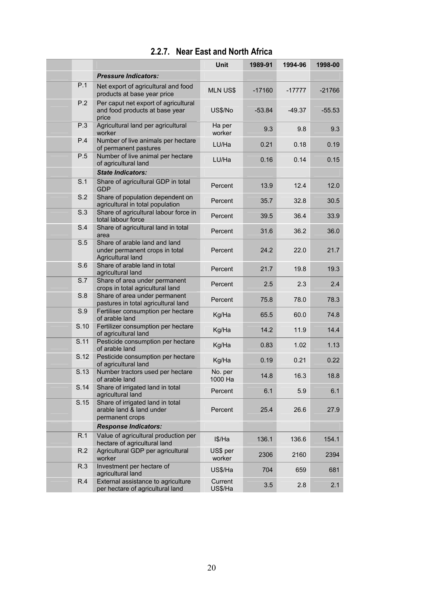|      |                                                                                      | <b>Unit</b>        | 1989-91  | 1994-96  | 1998-00  |
|------|--------------------------------------------------------------------------------------|--------------------|----------|----------|----------|
|      | <b>Pressure Indicators:</b>                                                          |                    |          |          |          |
| P.1  | Net export of agricultural and food<br>products at base year price                   | <b>MLN US\$</b>    | $-17160$ | $-17777$ | $-21766$ |
| P.2  | Per caput net export of agricultural<br>and food products at base year<br>price      | US\$/No            | $-53.84$ | $-49.37$ | $-55.53$ |
| P.3  | Agricultural land per agricultural<br>worker                                         | Ha per<br>worker   | 9.3      | 9.8      | 9.3      |
| P.4  | Number of live animals per hectare<br>of permanent pastures                          | LU/Ha              | 0.21     | 0.18     | 0.19     |
| P.5  | Number of live animal per hectare<br>of agricultural land                            | LU/Ha              | 0.16     | 0.14     | 0.15     |
|      | <b>State Indicators:</b>                                                             |                    |          |          |          |
| S.1  | Share of agricultural GDP in total<br><b>GDP</b>                                     | Percent            | 13.9     | 12.4     | 12.0     |
| S.2  | Share of population dependent on<br>agricultural in total population                 | Percent            | 35.7     | 32.8     | 30.5     |
| S.3  | Share of agricultural labour force in<br>total labour force                          | Percent            | 39.5     | 36.4     | 33.9     |
| S.4  | Share of agricultural land in total<br>area                                          | Percent            | 31.6     | 36.2     | 36.0     |
| S.5  | Share of arable land and land<br>under permanent crops in total<br>Agricultural land | Percent            | 24.2     | 22.0     | 21.7     |
| S.6  | Share of arable land in total<br>agricultural land                                   | Percent            | 21.7     | 19.8     | 19.3     |
| S.7  | Share of area under permanent<br>crops in total agricultural land                    | Percent            | 2.5      | 2.3      | 2.4      |
| S.8  | Share of area under permanent<br>pastures in total agricultural land                 | Percent            | 75.8     | 78.0     | 78.3     |
| S.9  | Fertiliser consumption per hectare<br>of arable land                                 | Kg/Ha              | 65.5     | 60.0     | 74.8     |
| S.10 | Fertilizer consumption per hectare<br>of agricultural land                           | Kg/Ha              | 14.2     | 11.9     | 14.4     |
| S.11 | Pesticide consumption per hectare<br>of arable land                                  | Kg/Ha              | 0.83     | 1.02     | 1.13     |
| S.12 | Pesticide consumption per hectare<br>of agricultural land                            | Kg/Ha              | 0.19     | 0.21     | 0.22     |
| S.13 | Number tractors used per hectare<br>of arable land                                   | No. per<br>1000 Ha | 14.8     | 16.3     | 18.8     |
| S.14 | Share of irrigated land in total<br>agricultural land                                | Percent            | 6.1      | 5.9      | 6.1      |
| S.15 | Share of irrigated land in total<br>arable land & land under<br>permanent crops      | Percent            | 25.4     | 26.6     | 27.9     |
|      | <b>Response Indicators:</b>                                                          |                    |          |          |          |
| R.1  | Value of agricultural production per<br>hectare of agricultural land                 | I\$/Ha             | 136.1    | 136.6    | 154.1    |
| R.2  | Agricultural GDP per agricultural<br>worker                                          | US\$ per<br>worker | 2306     | 2160     | 2394     |
| R.3  | Investment per hectare of<br>agricultural land                                       | US\$/Ha            | 704      | 659      | 681      |
| R.4  | External assistance to agriculture<br>per hectare of agricultural land               | Current<br>US\$/Ha | 3.5      | 2.8      | 2.1      |

## **2.2.7. Near East and North Africa**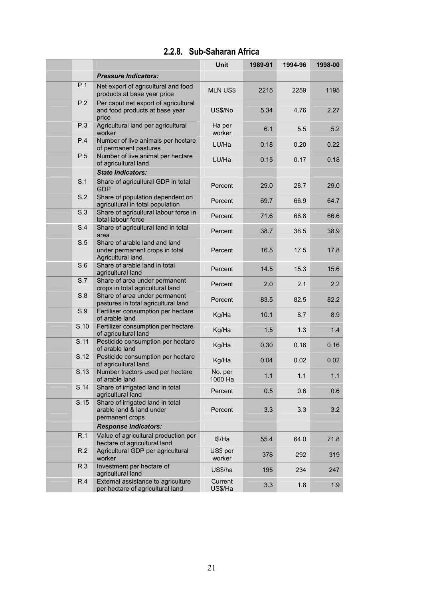|  | 2.2.8. Sub-Saharan Africa |  |
|--|---------------------------|--|
|--|---------------------------|--|

|      |                                                                                      | Unit               | 1989-91 | 1994-96 | 1998-00 |
|------|--------------------------------------------------------------------------------------|--------------------|---------|---------|---------|
|      | <b>Pressure Indicators:</b>                                                          |                    |         |         |         |
| P.1  | Net export of agricultural and food<br>products at base year price                   | <b>MLN US\$</b>    | 2215    | 2259    | 1195    |
| P.2  | Per caput net export of agricultural<br>and food products at base year<br>price      | US\$/No            | 5.34    | 4.76    | 2.27    |
| P.3  | Agricultural land per agricultural<br>worker                                         | Ha per<br>worker   | 6.1     | 5.5     | 5.2     |
| P.4  | Number of live animals per hectare<br>of permanent pastures                          | LU/Ha              | 0.18    | 0.20    | 0.22    |
| P.5  | Number of live animal per hectare<br>of agricultural land                            | LU/Ha              | 0.15    | 0.17    | 0.18    |
|      | <b>State Indicators:</b>                                                             |                    |         |         |         |
| S.1  | Share of agricultural GDP in total<br><b>GDP</b>                                     | Percent            | 29.0    | 28.7    | 29.0    |
| S.2  | Share of population dependent on<br>agricultural in total population                 | Percent            | 69.7    | 66.9    | 64.7    |
| S.3  | Share of agricultural labour force in<br>total labour force                          | Percent            | 71.6    | 68.8    | 66.6    |
| S.4  | Share of agricultural land in total<br>area                                          | Percent            | 38.7    | 38.5    | 38.9    |
| S.5  | Share of arable land and land<br>under permanent crops in total<br>Agricultural land | Percent            | 16.5    | 17.5    | 17.8    |
| S.6  | Share of arable land in total<br>agricultural land                                   | Percent            | 14.5    | 15.3    | 15.6    |
| S.7  | Share of area under permanent<br>crops in total agricultural land                    | Percent            | 2.0     | 2.1     | 2.2     |
| S.8  | Share of area under permanent<br>pastures in total agricultural land                 | Percent            | 83.5    | 82.5    | 82.2    |
| S.9  | Fertiliser consumption per hectare<br>of arable land                                 | Kg/Ha              | 10.1    | 8.7     | 8.9     |
| S.10 | Fertilizer consumption per hectare<br>of agricultural land                           | Kg/Ha              | 1.5     | 1.3     | 1.4     |
| S.11 | Pesticide consumption per hectare<br>of arable land                                  | Kg/Ha              | 0.30    | 0.16    | 0.16    |
| S.12 | Pesticide consumption per hectare<br>of agricultural land                            | Kg/Ha              | 0.04    | 0.02    | 0.02    |
| S.13 | Number tractors used per hectare<br>of arable land                                   | No. per<br>1000 Ha | 1.1     | 1.1     | 1.1     |
| S.14 | Share of irrigated land in total<br>agricultural land                                | Percent            | 0.5     | 0.6     | 0.6     |
| S.15 | Share of irrigated land in total<br>arable land & land under<br>permanent crops      | Percent            | 3.3     | 3.3     | 3.2     |
|      | <b>Response Indicators:</b>                                                          |                    |         |         |         |
| R.1  | Value of agricultural production per<br>hectare of agricultural land                 | I\$/Ha             | 55.4    | 64.0    | 71.8    |
| R.2  | Agricultural GDP per agricultural<br>worker                                          | US\$ per<br>worker | 378     | 292     | 319     |
| R.3  | Investment per hectare of<br>agricultural land                                       | US\$/ha            | 195     | 234     | 247     |
| R.4  | External assistance to agriculture<br>per hectare of agricultural land               | Current<br>US\$/Ha | 3.3     | 1.8     | 1.9     |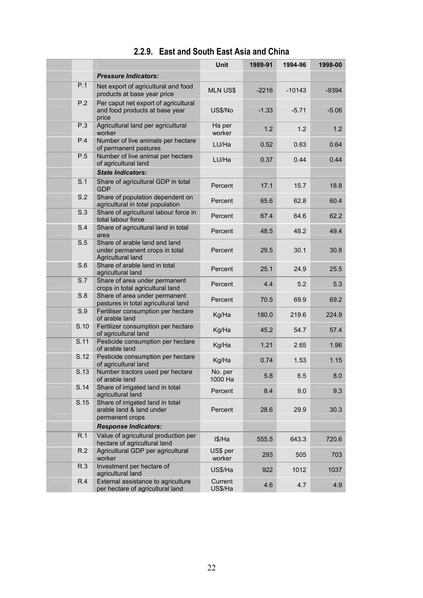|      |                                                                                      | <b>Unit</b>        | 1989-91 | 1994-96  | 1998-00 |
|------|--------------------------------------------------------------------------------------|--------------------|---------|----------|---------|
|      | <b>Pressure Indicators:</b>                                                          |                    |         |          |         |
| P.1  | Net export of agricultural and food<br>products at base year price                   | <b>MLN US\$</b>    | $-2216$ | $-10143$ | $-9394$ |
| P.2  | Per caput net export of agricultural<br>and food products at base year<br>price      | US\$/No            | $-1.33$ | $-5.71$  | $-5.06$ |
| P.3  | Agricultural land per agricultural<br>worker                                         | Ha per<br>worker   | 1.2     | 1.2      | 1.2     |
| P.4  | Number of live animals per hectare<br>of permanent pastures                          | LU/Ha              | 0.52    | 0.63     | 0.64    |
| P.5  | Number of live animal per hectare<br>of agricultural land                            | LU/Ha              | 0.37    | 0.44     | 0.44    |
|      | <b>State Indicators:</b>                                                             |                    |         |          |         |
| S.1  | Share of agricultural GDP in total<br><b>GDP</b>                                     | Percent            | 17.1    | 15.7     | 18.8    |
| S.2  | Share of population dependent on<br>agricultural in total population                 | Percent            | 65.6    | 62.8     | 60.4    |
| S.3  | Share of agricultural labour force in<br>total labour force                          | Percent            | 67.4    | 64.6     | 62.2    |
| S.4  | Share of agricultural land in total<br>area                                          | Percent            | 48.5    | 48.2     | 49.4    |
| S.5  | Share of arable land and land<br>under permanent crops in total<br>Agricultural land | Percent            | 29.5    | 30.1     | 30.8    |
| S.6  | Share of arable land in total<br>agricultural land                                   | Percent            | 25.1    | 24.9     | 25.5    |
| S.7  | Share of area under permanent<br>crops in total agricultural land                    | Percent            | 4.4     | 5.2      | 5.3     |
| S.8  | Share of area under permanent<br>pastures in total agricultural land                 | Percent            | 70.5    | 69.9     | 69.2    |
| S.9  | Fertiliser consumption per hectare<br>of arable land                                 | Kg/Ha              | 180.0   | 219.6    | 224.9   |
| S.10 | Fertilizer consumption per hectare<br>of agricultural land                           | Kg/Ha              | 45.2    | 54.7     | 57.4    |
| S.11 | Pesticide consumption per hectare<br>of arable land                                  | Kg/Ha              | 1.21    | 2.65     | 1.96    |
| S.12 | Pesticide consumption per hectare<br>of agricultural land                            | Kg/Ha              | 0.74    | 1.53     | 1.15    |
| S.13 | Number tractors used per hectare<br>of arable land                                   | No. per<br>1000 Ha | 5.8     | 6.5      | 8.0     |
| S.14 | Share of irrigated land in total<br>agricultural land                                | Percent            | 8.4     | 9.0      | 9.3     |
| S.15 | Share of irrigated land in total<br>arable land & land under<br>permanent crops      | Percent            | 28.6    | 29.9     | 30.3    |
|      | <b>Response Indicators:</b>                                                          |                    |         |          |         |
| R.1  | Value of agricultural production per<br>hectare of agricultural land                 | I\$/Ha             | 555.5   | 643.3    | 720.6   |
| R.2  | Agricultural GDP per agricultural<br>worker                                          | US\$ per<br>worker | 293     | 505      | 703     |
| R.3  | Investment per hectare of<br>agricultural land                                       | US\$/Ha            | 922     | 1012     | 1037    |
| R.4  | External assistance to agriculture<br>per hectare of agricultural land               | Current<br>US\$/Ha | 4.6     | 4.7      | 4.9     |

## **2.2.9. East and South East Asia and China**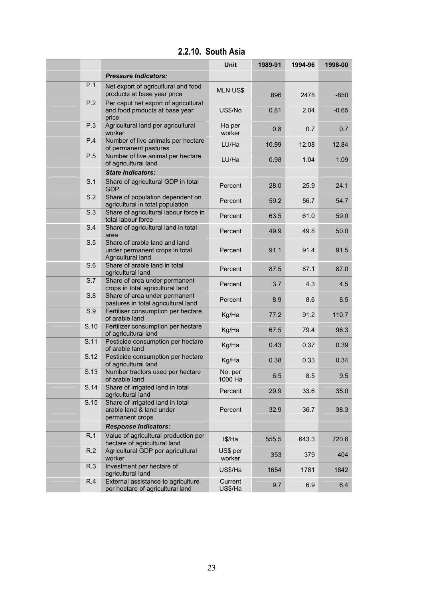## **2.2.10. South Asia**

|      |                                                                                      | <b>Unit</b>        | 1989-91 | 1994-96 | 1998-00 |
|------|--------------------------------------------------------------------------------------|--------------------|---------|---------|---------|
|      | <b>Pressure Indicators:</b>                                                          |                    |         |         |         |
| P.1  | Net export of agricultural and food<br>products at base year price                   | <b>MLN US\$</b>    | 896     | 2478    | $-850$  |
| P.2  | Per caput net export of agricultural<br>and food products at base year<br>price      | US\$/No            | 0.81    | 2.04    | $-0.65$ |
| P.3  | Agricultural land per agricultural<br>worker                                         | Ha per<br>worker   | 0.8     | 0.7     | 0.7     |
| P.4  | Number of live animals per hectare<br>of permanent pastures                          | LU/Ha              | 10.99   | 12.08   | 12.84   |
| P.5  | Number of live animal per hectare<br>of agricultural land                            | LU/Ha              | 0.98    | 1.04    | 1.09    |
|      | <b>State Indicators:</b>                                                             |                    |         |         |         |
| S.1  | Share of agricultural GDP in total<br><b>GDP</b>                                     | Percent            | 28.0    | 25.9    | 24.1    |
| S.2  | Share of population dependent on<br>agricultural in total population                 | Percent            | 59.2    | 56.7    | 54.7    |
| S.3  | Share of agricultural labour force in<br>total labour force                          | Percent            | 63.5    | 61.0    | 59.0    |
| S.4  | Share of agricultural land in total<br>area                                          | Percent            | 49.9    | 49.8    | 50.0    |
| S.5  | Share of arable land and land<br>under permanent crops in total<br>Agricultural land | Percent            | 91.1    | 91.4    | 91.5    |
| S.6  | Share of arable land in total<br>agricultural land                                   | Percent            | 87.5    | 87.1    | 87.0    |
| S.7  | Share of area under permanent<br>crops in total agricultural land                    | Percent            | 3.7     | 4.3     | 4.5     |
| S.8  | Share of area under permanent<br>pastures in total agricultural land                 | Percent            | 8.9     | 8.6     | 8.5     |
| S.9  | Fertiliser consumption per hectare<br>of arable land                                 | Kg/Ha              | 77.2    | 91.2    | 110.7   |
| S.10 | Fertilizer consumption per hectare<br>of agricultural land                           | Kg/Ha              | 67.5    | 79.4    | 96.3    |
| S.11 | Pesticide consumption per hectare<br>of arable land                                  | Kg/Ha              | 0.43    | 0.37    | 0.39    |
| S.12 | Pesticide consumption per hectare<br>of agricultural land                            | Kg/Ha              | 0.38    | 0.33    | 0.34    |
| S.13 | Number tractors used per hectare<br>of arable land                                   | No. per<br>1000 Ha | 6.5     | 8.5     | 9.5     |
| S.14 | Share of irrigated land in total<br>agricultural land                                | Percent            | 29.9    | 33.6    | 35.0    |
| S.15 | Share of irrigated land in total<br>arable land & land under<br>permanent crops      | Percent            | 32.9    | 36.7    | 38.3    |
|      | <b>Response Indicators:</b>                                                          |                    |         |         |         |
| R.1  | Value of agricultural production per<br>hectare of agricultural land                 | I\$/Ha             | 555.5   | 643.3   | 720.6   |
| R.2  | Agricultural GDP per agricultural<br>worker                                          | US\$ per<br>worker | 353     | 379     | 404     |
| R.3  | Investment per hectare of<br>agricultural land                                       | US\$/Ha            | 1654    | 1781    | 1842    |
| R.4  | External assistance to agriculture<br>per hectare of agricultural land               | Current<br>US\$/Ha | 9.7     | 6.9     | 6.4     |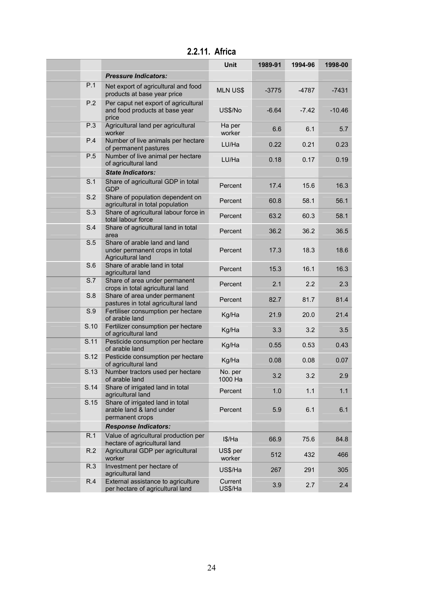|      |                                                                                      | <b>Unit</b>        | 1989-91 | 1994-96 | 1998-00  |
|------|--------------------------------------------------------------------------------------|--------------------|---------|---------|----------|
|      | <b>Pressure Indicators:</b>                                                          |                    |         |         |          |
| P.1  | Net export of agricultural and food<br>products at base year price                   | <b>MLN US\$</b>    | $-3775$ | $-4787$ | $-7431$  |
| P.2  | Per caput net export of agricultural<br>and food products at base year<br>price      | US\$/No            | $-6.64$ | $-7.42$ | $-10.46$ |
| P.3  | Agricultural land per agricultural<br>worker                                         | Ha per<br>worker   | 6.6     | 6.1     | 5.7      |
| P.4  | Number of live animals per hectare<br>of permanent pastures                          | LU/Ha              | 0.22    | 0.21    | 0.23     |
| P.5  | Number of live animal per hectare<br>of agricultural land                            | LU/Ha              | 0.18    | 0.17    | 0.19     |
|      | <b>State Indicators:</b>                                                             |                    |         |         |          |
| S.1  | Share of agricultural GDP in total<br><b>GDP</b>                                     | Percent            | 17.4    | 15.6    | 16.3     |
| S.2  | Share of population dependent on<br>agricultural in total population                 | Percent            | 60.8    | 58.1    | 56.1     |
| S.3  | Share of agricultural labour force in<br>total labour force                          | Percent            | 63.2    | 60.3    | 58.1     |
| S.4  | Share of agricultural land in total<br>area                                          | Percent            | 36.2    | 36.2    | 36.5     |
| S.5  | Share of arable land and land<br>under permanent crops in total<br>Agricultural land | Percent            | 17.3    | 18.3    | 18.6     |
| S.6  | Share of arable land in total<br>agricultural land                                   | Percent            | 15.3    | 16.1    | 16.3     |
| S.7  | Share of area under permanent<br>crops in total agricultural land                    | Percent            | 2.1     | 2.2     | 2.3      |
| S.8  | Share of area under permanent<br>pastures in total agricultural land                 | Percent            | 82.7    | 81.7    | 81.4     |
| S.9  | Fertiliser consumption per hectare<br>of arable land                                 | Kg/Ha              | 21.9    | 20.0    | 21.4     |
| S.10 | Fertilizer consumption per hectare<br>of agricultural land                           | Kg/Ha              | 3.3     | 3.2     | 3.5      |
| S.11 | Pesticide consumption per hectare<br>of arable land                                  | Kg/Ha              | 0.55    | 0.53    | 0.43     |
| S.12 | Pesticide consumption per hectare<br>of agricultural land                            | Kg/Ha              | 0.08    | 0.08    | 0.07     |
| S.13 | Number tractors used per hectare<br>of arable land                                   | No. per<br>1000 Ha | 3.2     | 3.2     | 2.9      |
| S.14 | Share of irrigated land in total<br>agricultural land                                | Percent            | 1.0     | 1.1     | 1.1      |
| S.15 | Share of irrigated land in total<br>arable land & land under<br>permanent crops      | Percent            | 5.9     | 6.1     | 6.1      |
|      | <b>Response Indicators:</b>                                                          |                    |         |         |          |
| R.1  | Value of agricultural production per<br>hectare of agricultural land                 | I\$/Ha             | 66.9    | 75.6    | 84.8     |
| R.2  | Agricultural GDP per agricultural<br>worker                                          | US\$ per<br>worker | 512     | 432     | 466      |
| R.3  | Investment per hectare of<br>agricultural land                                       | US\$/Ha            | 267     | 291     | 305      |
| R.4  | External assistance to agriculture<br>per hectare of agricultural land               | Current<br>US\$/Ha | 3.9     | 2.7     | 2.4      |

**2.2.11. Africa**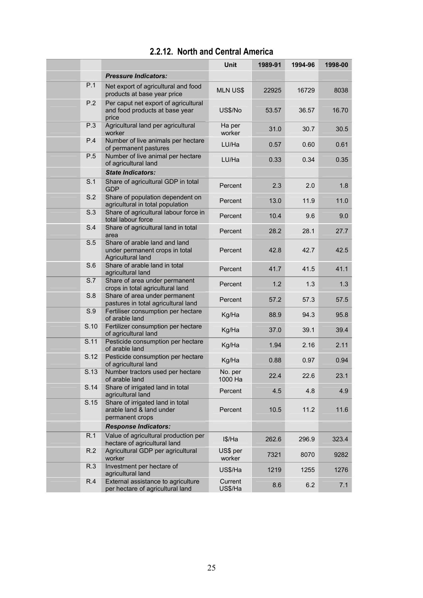|  | 2.2.12. North and Central America |  |  |
|--|-----------------------------------|--|--|
|--|-----------------------------------|--|--|

|      |                                                                                      | <b>Unit</b>        | 1989-91 | 1994-96 | 1998-00 |
|------|--------------------------------------------------------------------------------------|--------------------|---------|---------|---------|
|      | <b>Pressure Indicators:</b>                                                          |                    |         |         |         |
| P.1  | Net export of agricultural and food<br>products at base year price                   | <b>MLN US\$</b>    | 22925   | 16729   | 8038    |
| P.2  | Per caput net export of agricultural<br>and food products at base year<br>price      | US\$/No            | 53.57   | 36.57   | 16.70   |
| P.3  | Agricultural land per agricultural<br>worker                                         | Ha per<br>worker   | 31.0    | 30.7    | 30.5    |
| P.4  | Number of live animals per hectare<br>of permanent pastures                          | LU/Ha              | 0.57    | 0.60    | 0.61    |
| P.5  | Number of live animal per hectare<br>of agricultural land                            | LU/Ha              | 0.33    | 0.34    | 0.35    |
|      | <b>State Indicators:</b>                                                             |                    |         |         |         |
| S.1  | Share of agricultural GDP in total<br><b>GDP</b>                                     | Percent            | 2.3     | 2.0     | 1.8     |
| S.2  | Share of population dependent on<br>agricultural in total population                 | Percent            | 13.0    | 11.9    | 11.0    |
| S.3  | Share of agricultural labour force in<br>total labour force                          | Percent            | 10.4    | 9.6     | 9.0     |
| S.4  | Share of agricultural land in total<br>area                                          | Percent            | 28.2    | 28.1    | 27.7    |
| S.5  | Share of arable land and land<br>under permanent crops in total<br>Agricultural land | Percent            | 42.8    | 42.7    | 42.5    |
| S.6  | Share of arable land in total<br>agricultural land                                   | Percent            | 41.7    | 41.5    | 41.1    |
| S.7  | Share of area under permanent<br>crops in total agricultural land                    | Percent            | 1.2     | 1.3     | 1.3     |
| S.8  | Share of area under permanent<br>pastures in total agricultural land                 | Percent            | 57.2    | 57.3    | 57.5    |
| S.9  | Fertiliser consumption per hectare<br>of arable land                                 | Kg/Ha              | 88.9    | 94.3    | 95.8    |
| S.10 | Fertilizer consumption per hectare<br>of agricultural land                           | Kg/Ha              | 37.0    | 39.1    | 39.4    |
| S.11 | Pesticide consumption per hectare<br>of arable land                                  | Kg/Ha              | 1.94    | 2.16    | 2.11    |
| S.12 | Pesticide consumption per hectare<br>of agricultural land                            | Kg/Ha              | 0.88    | 0.97    | 0.94    |
| S.13 | Number tractors used per hectare<br>of arable land                                   | No. per<br>1000 Ha | 22.4    | 22.6    | 23.1    |
| S.14 | Share of irrigated land in total<br>agricultural land                                | Percent            | 4.5     | 4.8     | 4.9     |
| S.15 | Share of irrigated land in total<br>arable land & land under<br>permanent crops      | Percent            | 10.5    | 11.2    | 11.6    |
|      | <b>Response Indicators:</b>                                                          |                    |         |         |         |
| R.1  | Value of agricultural production per<br>hectare of agricultural land                 | I\$/Ha             | 262.6   | 296.9   | 323.4   |
| R.2  | Agricultural GDP per agricultural<br>worker                                          | US\$ per<br>worker | 7321    | 8070    | 9282    |
| R.3  | Investment per hectare of<br>agricultural land                                       | US\$/Ha            | 1219    | 1255    | 1276    |
| R.4  | External assistance to agriculture<br>per hectare of agricultural land               | Current<br>US\$/Ha | 8.6     | 6.2     | 7.1     |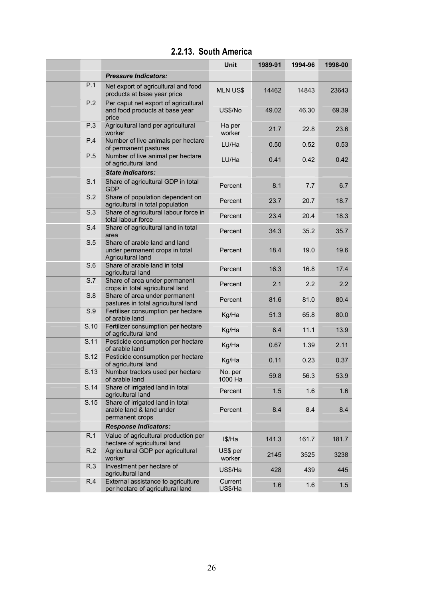## **2.2.13. South America**

|      |                                                                                      | Unit               | 1989-91 | 1994-96 | 1998-00 |
|------|--------------------------------------------------------------------------------------|--------------------|---------|---------|---------|
|      | <b>Pressure Indicators:</b>                                                          |                    |         |         |         |
| P.1  | Net export of agricultural and food<br>products at base year price                   | <b>MLN US\$</b>    | 14462   | 14843   | 23643   |
| P.2  | Per caput net export of agricultural<br>and food products at base year<br>price      | US\$/No            | 49.02   | 46.30   | 69.39   |
| P.3  | Agricultural land per agricultural<br>worker                                         | Ha per<br>worker   | 21.7    | 22.8    | 23.6    |
| P.4  | Number of live animals per hectare<br>of permanent pastures                          | LU/Ha              | 0.50    | 0.52    | 0.53    |
| P.5  | Number of live animal per hectare<br>of agricultural land                            | LU/Ha              | 0.41    | 0.42    | 0.42    |
|      | <b>State Indicators:</b>                                                             |                    |         |         |         |
| S.1  | Share of agricultural GDP in total<br><b>GDP</b>                                     | Percent            | 8.1     | 7.7     | 6.7     |
| S.2  | Share of population dependent on<br>agricultural in total population                 | Percent            | 23.7    | 20.7    | 18.7    |
| S.3  | Share of agricultural labour force in<br>total labour force                          | Percent            | 23.4    | 20.4    | 18.3    |
| S.4  | Share of agricultural land in total<br>area                                          | Percent            | 34.3    | 35.2    | 35.7    |
| S.5  | Share of arable land and land<br>under permanent crops in total<br>Agricultural land | Percent            | 18.4    | 19.0    | 19.6    |
| S.6  | Share of arable land in total<br>agricultural land                                   | Percent            | 16.3    | 16.8    | 17.4    |
| S.7  | Share of area under permanent<br>crops in total agricultural land                    | Percent            | 2.1     | 2.2     | 2.2     |
| S.8  | Share of area under permanent<br>pastures in total agricultural land                 | Percent            | 81.6    | 81.0    | 80.4    |
| S.9  | Fertiliser consumption per hectare<br>of arable land                                 | Kg/Ha              | 51.3    | 65.8    | 80.0    |
| S.10 | Fertilizer consumption per hectare<br>of agricultural land                           | Kg/Ha              | 8.4     | 11.1    | 13.9    |
| S.11 | Pesticide consumption per hectare<br>of arable land                                  | Kg/Ha              | 0.67    | 1.39    | 2.11    |
| S.12 | Pesticide consumption per hectare<br>of agricultural land                            | Kg/Ha              | 0.11    | 0.23    | 0.37    |
| S.13 | Number tractors used per hectare<br>of arable land                                   | No. per<br>1000 Ha | 59.8    | 56.3    | 53.9    |
| S.14 | Share of irrigated land in total<br>agricultural land                                | Percent            | 1.5     | 1.6     | 1.6     |
| S.15 | Share of irrigated land in total<br>arable land & land under<br>permanent crops      | Percent            | 8.4     | 8.4     | 8.4     |
|      | <b>Response Indicators:</b>                                                          |                    |         |         |         |
| R.1  | Value of agricultural production per<br>hectare of agricultural land                 | I\$/Ha             | 141.3   | 161.7   | 181.7   |
| R.2  | Agricultural GDP per agricultural<br>worker                                          | US\$ per<br>worker | 2145    | 3525    | 3238    |
| R.3  | Investment per hectare of<br>agricultural land                                       | US\$/Ha            | 428     | 439     | 445     |
| R.4  | External assistance to agriculture<br>per hectare of agricultural land               | Current<br>US\$/Ha | 1.6     | 1.6     | 1.5     |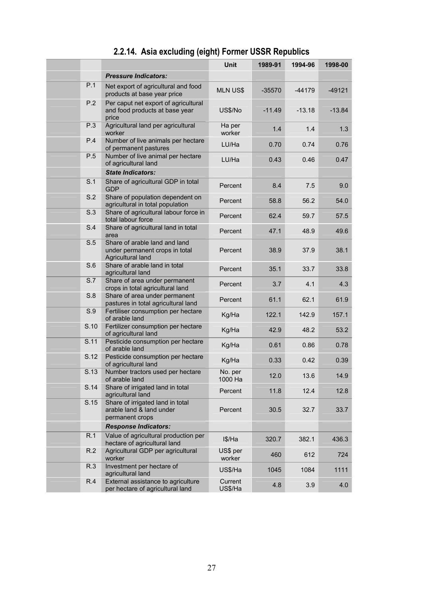|      |                                                                                      | <b>Unit</b>        | 1989-91  | 1994-96  | 1998-00  |
|------|--------------------------------------------------------------------------------------|--------------------|----------|----------|----------|
|      | <b>Pressure Indicators:</b>                                                          |                    |          |          |          |
| P.1  | Net export of agricultural and food<br>products at base year price                   | <b>MLN US\$</b>    | $-35570$ | $-44179$ | $-49121$ |
| P.2  | Per caput net export of agricultural<br>and food products at base year<br>price      | US\$/No            | $-11.49$ | $-13.18$ | $-13.84$ |
| P.3  | Agricultural land per agricultural<br>worker                                         | Ha per<br>worker   | 1.4      | 1.4      | 1.3      |
| P.4  | Number of live animals per hectare<br>of permanent pastures                          | LU/Ha              | 0.70     | 0.74     | 0.76     |
| P.5  | Number of live animal per hectare<br>of agricultural land                            | LU/Ha              | 0.43     | 0.46     | 0.47     |
|      | <b>State Indicators:</b>                                                             |                    |          |          |          |
| S.1  | Share of agricultural GDP in total<br><b>GDP</b>                                     | Percent            | 8.4      | 7.5      | 9.0      |
| S.2  | Share of population dependent on<br>agricultural in total population                 | Percent            | 58.8     | 56.2     | 54.0     |
| S.3  | Share of agricultural labour force in<br>total labour force                          | Percent            | 62.4     | 59.7     | 57.5     |
| S.4  | Share of agricultural land in total<br>area                                          | Percent            | 47.1     | 48.9     | 49.6     |
| S.5  | Share of arable land and land<br>under permanent crops in total<br>Agricultural land | Percent            | 38.9     | 37.9     | 38.1     |
| S.6  | Share of arable land in total<br>agricultural land                                   | Percent            | 35.1     | 33.7     | 33.8     |
| S.7  | Share of area under permanent<br>crops in total agricultural land                    | Percent            | 3.7      | 4.1      | 4.3      |
| S.8  | Share of area under permanent<br>pastures in total agricultural land                 | Percent            | 61.1     | 62.1     | 61.9     |
| S.9  | Fertiliser consumption per hectare<br>of arable land                                 | Kg/Ha              | 122.1    | 142.9    | 157.1    |
| S.10 | Fertilizer consumption per hectare<br>of agricultural land                           | Kg/Ha              | 42.9     | 48.2     | 53.2     |
| S.11 | Pesticide consumption per hectare<br>of arable land                                  | Kg/Ha              | 0.61     | 0.86     | 0.78     |
| S.12 | Pesticide consumption per hectare<br>of agricultural land                            | Kg/Ha              | 0.33     | 0.42     | 0.39     |
| S.13 | Number tractors used per hectare<br>of arable land                                   | No. per<br>1000 Ha | 12.0     | 13.6     | 14.9     |
| S.14 | Share of irrigated land in total<br>agricultural land                                | Percent            | 11.8     | 12.4     | 12.8     |
| S.15 | Share of irrigated land in total<br>arable land & land under<br>permanent crops      | Percent            | 30.5     | 32.7     | 33.7     |
|      | <b>Response Indicators:</b>                                                          |                    |          |          |          |
| R.1  | Value of agricultural production per<br>hectare of agricultural land                 | I\$/Ha             | 320.7    | 382.1    | 436.3    |
| R.2  | Agricultural GDP per agricultural<br>worker                                          | US\$ per<br>worker | 460      | 612      | 724      |
| R.3  | Investment per hectare of<br>agricultural land                                       | US\$/Ha            | 1045     | 1084     | 1111     |
| R.4  | External assistance to agriculture<br>per hectare of agricultural land               | Current<br>US\$/Ha | 4.8      | 3.9      | 4.0      |

## **2.2.14. Asia excluding (eight) Former USSR Republics**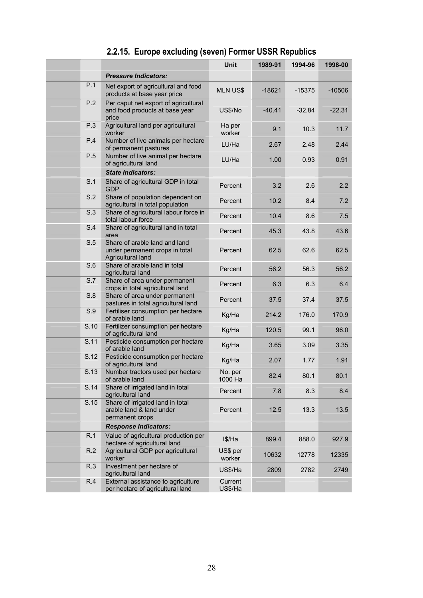|      | ELITU. LUIUPU UAUTUUTTY (JUVUTT) I UTTIUT UUUTA RUPUUTTUJ                            |                    |          |          |          |  |  |  |
|------|--------------------------------------------------------------------------------------|--------------------|----------|----------|----------|--|--|--|
|      |                                                                                      | <b>Unit</b>        | 1989-91  | 1994-96  | 1998-00  |  |  |  |
|      | <b>Pressure Indicators:</b>                                                          |                    |          |          |          |  |  |  |
| P.1  | Net export of agricultural and food<br>products at base year price                   | <b>MLN US\$</b>    | $-18621$ | $-15375$ | $-10506$ |  |  |  |
| P.2  | Per caput net export of agricultural<br>and food products at base year<br>price      | US\$/No            | $-40.41$ | $-32.84$ | $-22.31$ |  |  |  |
| P.3  | Agricultural land per agricultural<br>worker                                         | Ha per<br>worker   | 9.1      | 10.3     | 11.7     |  |  |  |
| P.4  | Number of live animals per hectare<br>of permanent pastures                          | LU/Ha              | 2.67     | 2.48     | 2.44     |  |  |  |
| P.5  | Number of live animal per hectare<br>of agricultural land                            | LU/Ha              | 1.00     | 0.93     | 0.91     |  |  |  |
|      | <b>State Indicators:</b>                                                             |                    |          |          |          |  |  |  |
| S.1  | Share of agricultural GDP in total<br><b>GDP</b>                                     | Percent            | 3.2      | 2.6      | 2.2      |  |  |  |
| S.2  | Share of population dependent on<br>agricultural in total population                 | Percent            | 10.2     | 8.4      | 7.2      |  |  |  |
| S.3  | Share of agricultural labour force in<br>total labour force                          | Percent            | 10.4     | 8.6      | 7.5      |  |  |  |
| S.4  | Share of agricultural land in total<br>area                                          | Percent            | 45.3     | 43.8     | 43.6     |  |  |  |
| S.5  | Share of arable land and land<br>under permanent crops in total<br>Agricultural land | Percent            | 62.5     | 62.6     | 62.5     |  |  |  |
| S.6  | Share of arable land in total<br>agricultural land                                   | Percent            | 56.2     | 56.3     | 56.2     |  |  |  |
| S.7  | Share of area under permanent<br>crops in total agricultural land                    | Percent            | 6.3      | 6.3      | 6.4      |  |  |  |
| S.8  | Share of area under permanent<br>pastures in total agricultural land                 | Percent            | 37.5     | 37.4     | 37.5     |  |  |  |
| S.9  | Fertiliser consumption per hectare<br>of arable land                                 | Kg/Ha              | 214.2    | 176.0    | 170.9    |  |  |  |
| S.10 | Fertilizer consumption per hectare<br>of agricultural land                           | Kg/Ha              | 120.5    | 99.1     | 96.0     |  |  |  |
| S.11 | Pesticide consumption per hectare<br>of arable land                                  | Kg/Ha              | 3.65     | 3.09     | 3.35     |  |  |  |
| S.12 | Pesticide consumption per hectare<br>of agricultural land                            | Kg/Ha              | 2.07     | 1.77     | 1.91     |  |  |  |
| S.13 | Number tractors used per hectare<br>of arable land                                   | No. per<br>1000 Ha | 82.4     | 80.1     | 80.1     |  |  |  |
| S.14 | Share of irrigated land in total<br>agricultural land                                | Percent            | 7.8      | 8.3      | 8.4      |  |  |  |
| S.15 | Share of irrigated land in total<br>arable land & land under<br>permanent crops      | Percent            | 12.5     | 13.3     | 13.5     |  |  |  |
|      | <b>Response Indicators:</b>                                                          |                    |          |          |          |  |  |  |
| R.1  | Value of agricultural production per<br>hectare of agricultural land                 | I\$/Ha             | 899.4    | 888.0    | 927.9    |  |  |  |
| R.2  | Agricultural GDP per agricultural<br>worker                                          | US\$ per<br>worker | 10632    | 12778    | 12335    |  |  |  |
| R.3  | Investment per hectare of<br>agricultural land                                       | US\$/Ha            | 2809     | 2782     | 2749     |  |  |  |
| R.4  | External assistance to agriculture<br>per hectare of agricultural land               | Current<br>US\$/Ha |          |          |          |  |  |  |

### **2.2.15. Europe excluding (seven) Former USSR Republics**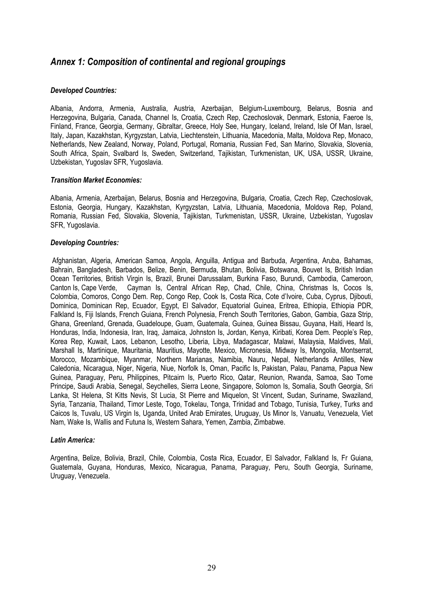## *Annex 1: Composition of continental and regional groupings*

### *Developed Countries:*

Albania, Andorra, Armenia, Australia, Austria, Azerbaijan, Belgium-Luxembourg, Belarus, Bosnia and Herzegovina, Bulgaria, Canada, Channel Is, Croatia, Czech Rep, Czechoslovak, Denmark, Estonia, Faeroe Is, Finland, France, Georgia, Germany, Gibraltar, Greece, Holy See, Hungary, Iceland, Ireland, Isle Of Man, Israel, Italy, Japan, Kazakhstan, Kyrgyzstan, Latvia, Liechtenstein, Lithuania, Macedonia, Malta, Moldova Rep, Monaco, Netherlands, New Zealand, Norway, Poland, Portugal, Romania, Russian Fed, San Marino, Slovakia, Slovenia, South Africa, Spain, Svalbard Is, Sweden, Switzerland, Tajikistan, Turkmenistan, UK, USA, USSR, Ukraine, Uzbekistan, Yugoslav SFR, Yugoslavia.

### *Transition Market Economies:*

Albania, Armenia, Azerbaijan, Belarus, Bosnia and Herzegovina, Bulgaria, Croatia, Czech Rep, Czechoslovak, Estonia, Georgia, Hungary, Kazakhstan, Kyrgyzstan, Latvia, Lithuania, Macedonia, Moldova Rep, Poland, Romania, Russian Fed, Slovakia, Slovenia, Tajikistan, Turkmenistan, USSR, Ukraine, Uzbekistan, Yugoslav SFR, Yugoslavia.

### *Developing Countries:*

Afghanistan, Algeria, American Samoa, Angola, Anguilla, Antigua and Barbuda, Argentina, Aruba, Bahamas, Bahrain, Bangladesh, Barbados, Belize, Benin, Bermuda, Bhutan, Bolivia, Botswana, Bouvet Is, British Indian Ocean Territories, British Virgin Is, Brazil, Brunei Darussalam, Burkina Faso, Burundi, Cambodia, Cameroon, Canton Is, Cape Verde, Cayman Is, Central African Rep, Chad, Chile, China, Christmas Is, Cocos Is, Colombia, Comoros, Congo Dem. Rep, Congo Rep, Cook Is, Costa Rica, Cote d'Ivoire, Cuba, Cyprus, Djibouti, Dominica, Dominican Rep, Ecuador, Egypt, El Salvador, Equatorial Guinea, Eritrea, Ethiopia, Ethiopia PDR, Falkland Is, Fiji Islands, French Guiana, French Polynesia, French South Territories, Gabon, Gambia, Gaza Strip, Ghana, Greenland, Grenada, Guadeloupe, Guam, Guatemala, Guinea, Guinea Bissau, Guyana, Haiti, Heard Is, Honduras, India, Indonesia, Iran, Iraq, Jamaica, Johnston Is, Jordan, Kenya, Kiribati, Korea Dem. People's Rep, Korea Rep, Kuwait, Laos, Lebanon, Lesotho, Liberia, Libya, Madagascar, Malawi, Malaysia, Maldives, Mali, Marshall Is, Martinique, Mauritania, Mauritius, Mayotte, Mexico, Micronesia, Midway Is, Mongolia, Montserrat, Morocco, Mozambique, Myanmar, Northern Marianas, Namibia, Nauru, Nepal, Netherlands Antilles, New Caledonia, Nicaragua, Niger, Nigeria, Niue, Norfolk Is, Oman, Pacific Is, Pakistan, Palau, Panama, Papua New Guinea, Paraguay, Peru, Philippines, Pitcairn Is, Puerto Rico, Qatar, Reunion, Rwanda, Samoa, Sao Tome Principe, Saudi Arabia, Senegal, Seychelles, Sierra Leone, Singapore, Solomon Is, Somalia, South Georgia, Sri Lanka, St Helena, St Kitts Nevis, St Lucia, St Pierre and Miquelon, St Vincent, Sudan, Suriname, Swaziland, Syria, Tanzania, Thailand, Timor Leste, Togo, Tokelau, Tonga, Trinidad and Tobago, Tunisia, Turkey, Turks and Caicos Is, Tuvalu, US Virgin Is, Uganda, United Arab Emirates, Uruguay, Us Minor Is, Vanuatu, Venezuela, Viet Nam, Wake Is, Wallis and Futuna Is, Western Sahara, Yemen, Zambia, Zimbabwe.

### *Latin America:*

Argentina, Belize, Bolivia, Brazil, Chile, Colombia, Costa Rica, Ecuador, El Salvador, Falkland Is, Fr Guiana, Guatemala, Guyana, Honduras, Mexico, Nicaragua, Panama, Paraguay, Peru, South Georgia, Suriname, Uruguay, Venezuela.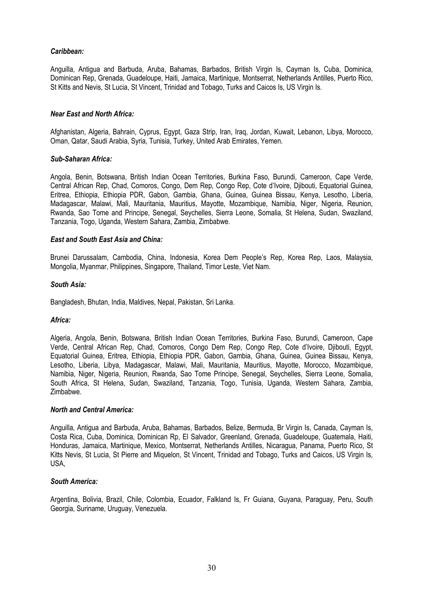### *Caribbean:*

Anguilla, Antigua and Barbuda, Aruba, Bahamas, Barbados, British Virgin Is, Cayman Is, Cuba, Dominica, Dominican Rep, Grenada, Guadeloupe, Haiti, Jamaica, Martinique, Montserrat, Netherlands Antilles, Puerto Rico, St Kitts and Nevis, St Lucia, St Vincent, Trinidad and Tobago, Turks and Caicos Is, US Virgin Is.

### *Near East and North Africa:*

Afghanistan, Algeria, Bahrain, Cyprus, Egypt, Gaza Strip, Iran, Iraq, Jordan, Kuwait, Lebanon, Libya, Morocco, Oman, Qatar, Saudi Arabia, Syria, Tunisia, Turkey, United Arab Emirates, Yemen.

### *Sub-Saharan Africa:*

Angola, Benin, Botswana, British Indian Ocean Territories, Burkina Faso, Burundi, Cameroon, Cape Verde, Central African Rep, Chad, Comoros, Congo, Dem Rep, Congo Rep, Cote d'Ivoire, Djibouti, Equatorial Guinea, Eritrea, Ethiopia, Ethiopia PDR, Gabon, Gambia, Ghana, Guinea, Guinea Bissau, Kenya, Lesotho, Liberia, Madagascar, Malawi, Mali, Mauritania, Mauritius, Mayotte, Mozambique, Namibia, Niger, Nigeria, Reunion, Rwanda, Sao Tome and Principe, Senegal, Seychelles, Sierra Leone, Somalia, St Helena, Sudan, Swaziland, Tanzania, Togo, Uganda, Western Sahara, Zambia, Zimbabwe.

### *East and South East Asia and China:*

Brunei Darussalam, Cambodia, China, Indonesia, Korea Dem People's Rep, Korea Rep, Laos, Malaysia, Mongolia, Myanmar, Philippines, Singapore, Thailand, Timor Leste, Viet Nam.

### *South Asia:*

Bangladesh, Bhutan, India, Maldives, Nepal, Pakistan, Sri Lanka.

### *Africa:*

Algeria, Angola, Benin, Botswana, British Indian Ocean Territories, Burkina Faso, Burundi, Cameroon, Cape Verde, Central African Rep, Chad, Comoros, Congo Dem Rep, Congo Rep, Cote d'Ivoire, Djibouti, Egypt, Equatorial Guinea, Eritrea, Ethiopia, Ethiopia PDR, Gabon, Gambia, Ghana, Guinea, Guinea Bissau, Kenya, Lesotho, Liberia, Libya, Madagascar, Malawi, Mali, Mauritania, Mauritius, Mayotte, Morocco, Mozambique, Namibia, Niger, Nigeria, Reunion, Rwanda, Sao Tome Principe, Senegal, Seychelles, Sierra Leone, Somalia, South Africa, St Helena, Sudan, Swaziland, Tanzania, Togo, Tunisia, Uganda, Western Sahara, Zambia, Zimbabwe.

### *North and Central America:*

Anguilla, Antigua and Barbuda, Aruba, Bahamas, Barbados, Belize, Bermuda, Br Virgin Is, Canada, Cayman Is, Costa Rica, Cuba, Dominica, Dominican Rp, El Salvador, Greenland, Grenada, Guadeloupe, Guatemala, Haiti, Honduras, Jamaica, Martinique, Mexico, Montserrat, Netherlands Antilles, Nicaragua, Panama, Puerto Rico, St Kitts Nevis, St Lucia, St Pierre and Miquelon, St Vincent, Trinidad and Tobago, Turks and Caicos, US Virgin Is, USA,

### *South America:*

Argentina, Bolivia, Brazil, Chile, Colombia, Ecuador, Falkland Is, Fr Guiana, Guyana, Paraguay, Peru, South Georgia, Suriname, Uruguay, Venezuela.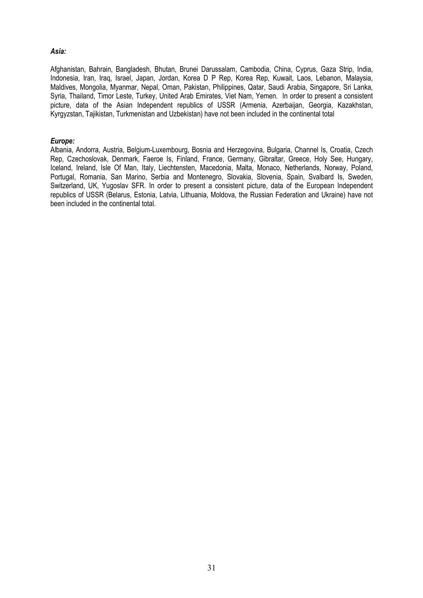### *Asia:*

Afghanistan, Bahrain, Bangladesh, Bhutan, Brunei Darussalam, Cambodia, China, Cyprus, Gaza Strip, India, Indonesia, Iran, Iraq, Israel, Japan, Jordan, Korea D P Rep, Korea Rep, Kuwait, Laos, Lebanon, Malaysia, Maldives, Mongolia, Myanmar, Nepal, Oman, Pakistan, Philippines, Qatar, Saudi Arabia, Singapore, Sri Lanka, Syria, Thailand, Timor Leste, Turkey, United Arab Emirates, Viet Nam, Yemen. In order to present a consistent picture, data of the Asian Independent republics of USSR (Armenia, Azerbaijan, Georgia, Kazakhstan, Kyrgyzstan, Tajikistan, Turkmenistan and Uzbekistan) have not been included in the continental total

### *Europe:*

Albania, Andorra, Austria, Belgium-Luxembourg, Bosnia and Herzegovina, Bulgaria, Channel Is, Croatia, Czech Rep, Czechoslovak, Denmark, Faeroe Is, Finland, France, Germany, Gibraltar, Greece, Holy See, Hungary, Iceland, Ireland, Isle Of Man, Italy, Liechtensten, Macedonia, Malta, Monaco, Netherlands, Norway, Poland, Portugal, Romania, San Marino, Serbia and Montenegro, Slovakia, Slovenia, Spain, Svalbard Is, Sweden, Switzerland, UK, Yugoslav SFR. In order to present a consistent picture, data of the European Independent republics of USSR (Belarus, Estonia, Latvia, Lithuania, Moldova, the Russian Federation and Ukraine) have not been included in the continental total.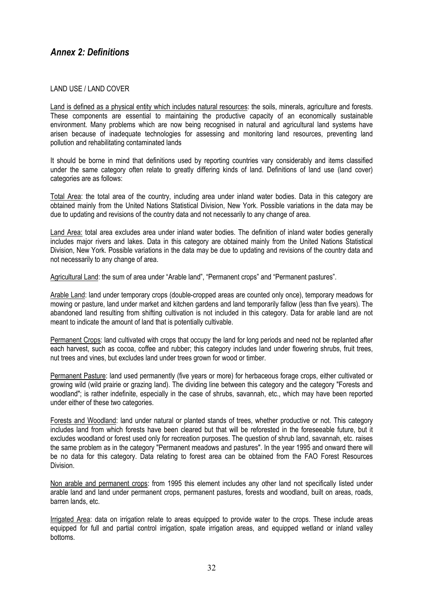## *Annex 2: Definitions*

### LAND USE / LAND COVER

Land is defined as a physical entity which includes natural resources: the soils, minerals, agriculture and forests. These components are essential to maintaining the productive capacity of an economically sustainable environment. Many problems which are now being recognised in natural and agricultural land systems have arisen because of inadequate technologies for assessing and monitoring land resources, preventing land pollution and rehabilitating contaminated lands

It should be borne in mind that definitions used by reporting countries vary considerably and items classified under the same category often relate to greatly differing kinds of land. Definitions of land use (land cover) categories are as follows:

Total Area: the total area of the country, including area under inland water bodies. Data in this category are obtained mainly from the United Nations Statistical Division, New York. Possible variations in the data may be due to updating and revisions of the country data and not necessarily to any change of area.

Land Area: total area excludes area under inland water bodies. The definition of inland water bodies generally includes major rivers and lakes. Data in this category are obtained mainly from the United Nations Statistical Division, New York. Possible variations in the data may be due to updating and revisions of the country data and not necessarily to any change of area.

Agricultural Land: the sum of area under "Arable land", "Permanent crops" and "Permanent pastures".

Arable Land: land under temporary crops (double-cropped areas are counted only once), temporary meadows for mowing or pasture, land under market and kitchen gardens and land temporarily fallow (less than five years). The abandoned land resulting from shifting cultivation is not included in this category. Data for arable land are not meant to indicate the amount of land that is potentially cultivable.

Permanent Crops: land cultivated with crops that occupy the land for long periods and need not be replanted after each harvest, such as cocoa, coffee and rubber; this category includes land under flowering shrubs, fruit trees, nut trees and vines, but excludes land under trees grown for wood or timber.

Permanent Pasture: land used permanently (five years or more) for herbaceous forage crops, either cultivated or growing wild (wild prairie or grazing land). The dividing line between this category and the category "Forests and woodland"; is rather indefinite, especially in the case of shrubs, savannah, etc., which may have been reported under either of these two categories.

Forests and Woodland: land under natural or planted stands of trees, whether productive or not. This category includes land from which forests have been cleared but that will be reforested in the foreseeable future, but it excludes woodland or forest used only for recreation purposes. The question of shrub land, savannah, etc. raises the same problem as in the category "Permanent meadows and pastures". In the year 1995 and onward there will be no data for this category. Data relating to forest area can be obtained from the FAO Forest Resources Division.

Non arable and permanent crops: from 1995 this element includes any other land not specifically listed under arable land and land under permanent crops, permanent pastures, forests and woodland, built on areas, roads, barren lands, etc.

Irrigated Area: data on irrigation relate to areas equipped to provide water to the crops. These include areas equipped for full and partial control irrigation, spate irrigation areas, and equipped wetland or inland valley bottoms.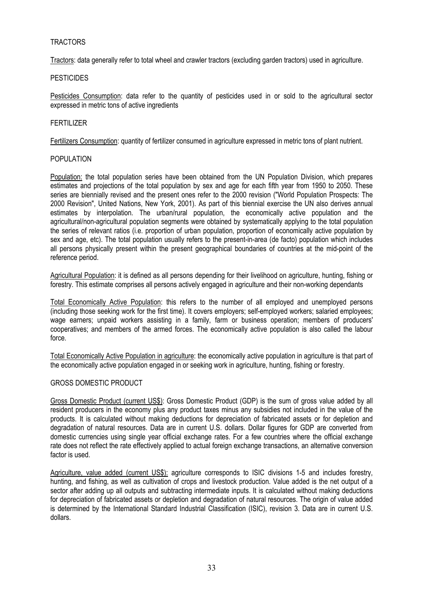### **TRACTORS**

Tractors: data generally refer to total wheel and crawler tractors (excluding garden tractors) used in agriculture.

### **PESTICIDES**

Pesticides Consumption: data refer to the quantity of pesticides used in or sold to the agricultural sector expressed in metric tons of active ingredients

### FERTILIZER

Fertilizers Consumption: quantity of fertilizer consumed in agriculture expressed in metric tons of plant nutrient.

### POPULATION

Population: the total population series have been obtained from the UN Population Division, which prepares estimates and projections of the total population by sex and age for each fifth year from 1950 to 2050. These series are biennially revised and the present ones refer to the 2000 revision ("World Population Prospects: The 2000 Revision", United Nations, New York, 2001). As part of this biennial exercise the UN also derives annual estimates by interpolation. The urban/rural population, the economically active population and the agricultural/non-agricultural population segments were obtained by systematically applying to the total population the series of relevant ratios (i.e. proportion of urban population, proportion of economically active population by sex and age, etc). The total population usually refers to the present-in-area (de facto) population which includes all persons physically present within the present geographical boundaries of countries at the mid-point of the reference period.

Agricultural Population: it is defined as all persons depending for their livelihood on agriculture, hunting, fishing or forestry. This estimate comprises all persons actively engaged in agriculture and their non-working dependants

Total Economically Active Population: this refers to the number of all employed and unemployed persons (including those seeking work for the first time). It covers employers; self-employed workers; salaried employees; wage earners; unpaid workers assisting in a family, farm or business operation; members of producers' cooperatives; and members of the armed forces. The economically active population is also called the labour force.

Total Economically Active Population in agriculture: the economically active population in agriculture is that part of the economically active population engaged in or seeking work in agriculture, hunting, fishing or forestry.

### GROSS DOMESTIC PRODUCT

Gross Domestic Product (current US\$): Gross Domestic Product (GDP) is the sum of gross value added by all resident producers in the economy plus any product taxes minus any subsidies not included in the value of the products. It is calculated without making deductions for depreciation of fabricated assets or for depletion and degradation of natural resources. Data are in current U.S. dollars. Dollar figures for GDP are converted from domestic currencies using single year official exchange rates. For a few countries where the official exchange rate does not reflect the rate effectively applied to actual foreign exchange transactions, an alternative conversion factor is used.

Agriculture, value added (current US\$): agriculture corresponds to ISIC divisions 1-5 and includes forestry, hunting, and fishing, as well as cultivation of crops and livestock production. Value added is the net output of a sector after adding up all outputs and subtracting intermediate inputs. It is calculated without making deductions for depreciation of fabricated assets or depletion and degradation of natural resources. The origin of value added is determined by the International Standard Industrial Classification (ISIC), revision 3. Data are in current U.S. dollars.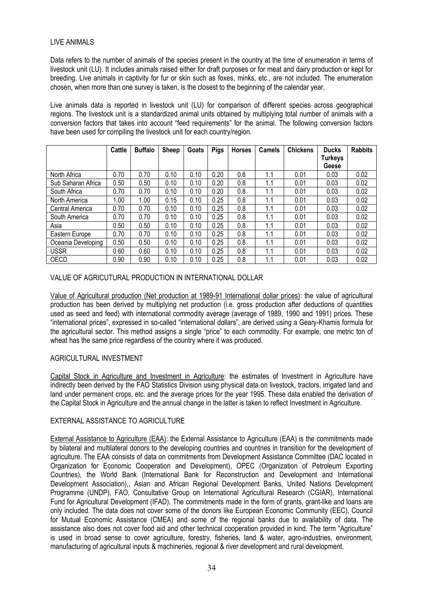### LIVE ANIMALS

Data refers to the number of animals of the species present in the country at the time of enumeration in terms of livestock unit (LU). It includes animals raised either for draft purposes or for meat and dairy production or kept for breeding. Live animals in captivity for fur or skin such as foxes, minks, etc., are not included. The enumeration chosen, when more than one survey is taken, is the closest to the beginning of the calendar year.

Live animals data is reported in livestock unit (LU) for comparison of different species across geographical regions. The livestock unit is a standardized animal units obtained by multiplying total number of animals with a conversion factors that takes into account "feed requirements" for the animal. The following conversion factors have been used for compiling the livestock unit for each country/region.

|                    | <b>Cattle</b> | <b>Buffalo</b> | Sheep | Goats | <b>Pigs</b> | <b>Horses</b> | <b>Camels</b> | <b>Chickens</b> | <b>Ducks</b><br><b>Turkeys</b> | <b>Rabbits</b> |
|--------------------|---------------|----------------|-------|-------|-------------|---------------|---------------|-----------------|--------------------------------|----------------|
|                    |               |                |       |       |             |               |               |                 | Geese                          |                |
| North Africa       | 0.70          | 0.70           | 0.10  | 0.10  | 0.20        | 0.8           | 1.1           | 0.01            | 0.03                           | 0.02           |
| Sub Saharan Africa | 0.50          | 0.50           | 0.10  | 0.10  | 0.20        | 0.8           | 1.1           | 0.01            | 0.03                           | 0.02           |
| South Africa       | 0.70          | 0.70           | 0.10  | 0.10  | 0.20        | 0.8           | 1.1           | 0.01            | 0.03                           | 0.02           |
| North America      | 1.00          | 1.00           | 0.15  | 0.10  | 0.25        | 0.8           | 1.1           | 0.01            | 0.03                           | 0.02           |
| Central America    | 0.70          | 0.70           | 0.10  | 0.10  | 0.25        | 0.8           | 1.1           | 0.01            | 0.03                           | 0.02           |
| South America      | 0.70          | 0.70           | 0.10  | 0.10  | 0.25        | 0.8           | 1.1           | 0.01            | 0.03                           | 0.02           |
| Asia               | 0.50          | 0.50           | 0.10  | 0.10  | 0.25        | 0.8           | 1.1           | 0.01            | 0.03                           | 0.02           |
| Eastern Europe     | 0.70          | 0.70           | 0.10  | 0.10  | 0.25        | 0.8           | 1.1           | 0.01            | 0.03                           | 0.02           |
| Oceania Developing | 0.50          | 0.50           | 0.10  | 0.10  | 0.25        | 0.8           | 1.1           | 0.01            | 0.03                           | 0.02           |
| <b>USSR</b>        | 0.60          | 0.60           | 0.10  | 0.10  | 0.25        | 0.8           | 1.1           | 0.01            | 0.03                           | 0.02           |
| <b>OECD</b>        | 0.90          | 0.90           | 0.10  | 0.10  | 0.25        | 0.8           | 1.1           | 0.01            | 0.03                           | 0.02           |

### VALUE OF AGRICUTURAL PRODUCTION IN INTERNATIONAL DOLLAR

Value of Agricultural production (Net production at 1989-91 International dollar prices): the value of agricultural production has been derived by multiplying net production (i.e. gross production after deductions of quantities used as seed and feed) with international commodity average (average of 1989, 1990 and 1991) prices. These "international prices", expressed in so-called "international dollars", are derived using a Geary-Khamis formula for the agricultural sector. This method assigns a single "price" to each commodity. For example, one metric ton of wheat has the same price regardless of the country where it was produced.

### AGRICULTURAL INVESTMENT

Capital Stock in Agriculture and Investment in Agriculture: the estimates of Investment in Agriculture have indirectly been derived by the FAO Statistics Division using physical data on livestock, tractors, irrigated land and land under permanent crops, etc. and the average prices for the year 1995. These data enabled the derivation of the Capital Stock in Agriculture and the annual change in the latter is taken to reflect Investment in Agriculture.

### EXTERNAL ASSISTANCE TO AGRICULTURE

External Assistance to Agriculture (EAA): the External Assistance to Agriculture (EAA) is the commitments made by bilateral and multilateral donors to the developing countries and countries in transition for the development of agriculture. The EAA consists of data on commitments from Development Assistance Committee (DAC located in Organization for Economic Cooperation and Development), OPEC (Organization of Petroleum Exporting Countries), the World Bank (International Bank for Reconstruction and Development and International Development Association),, Asian and African Regional Development Banks, United Nations Development Programme (UNDP), FAO, Consultative Group on International Agricultural Research (CGIAR), International Fund for Agricultural Development (IFAD). The commitments made in the form of grants, grant-like and loans are only included. The data does not cover some of the donors like European Economic Community (EEC), Council for Mutual Economic Assistance (CMEA) and some of the regional banks due to availability of data. The assistance also does not cover food aid and other technical cooperation provided in kind. The term "Agriculture" is used in broad sense to cover agriculture, forestry, fisheries, land & water, agro-industries, environment, manufacturing of agricultural inputs & machineries, regional & river development and rural development.